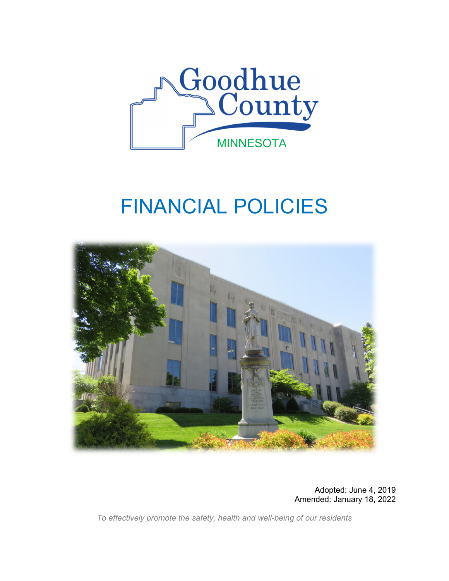

# FINANCIAL POLICIES



Adopted: June 4, 2019 Amended: January 18, 2022

*To effectively promote the safety, health and well-being of our residents*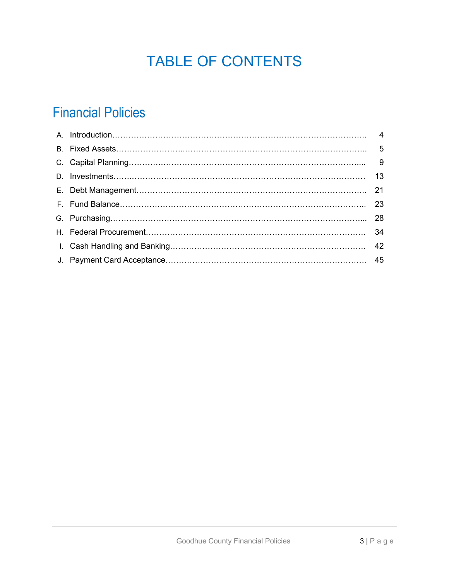# TABLE OF CONTENTS

# Financial Policies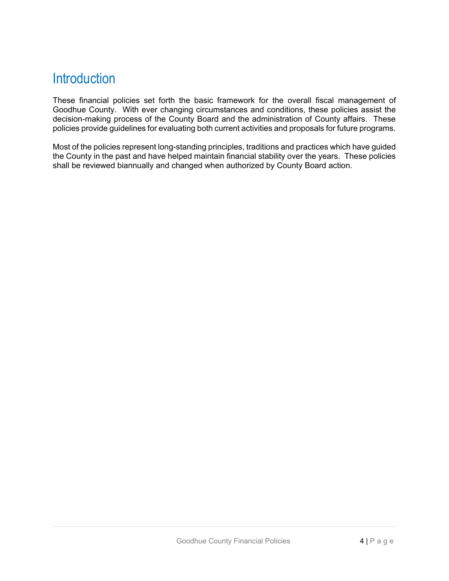# **Introduction**

These financial policies set forth the basic framework for the overall fiscal management of Goodhue County. With ever changing circumstances and conditions, these policies assist the decision-making process of the County Board and the administration of County affairs. These policies provide guidelines for evaluating both current activities and proposals for future programs.

Most of the policies represent long-standing principles, traditions and practices which have guided the County in the past and have helped maintain financial stability over the years. These policies shall be reviewed biannually and changed when authorized by County Board action.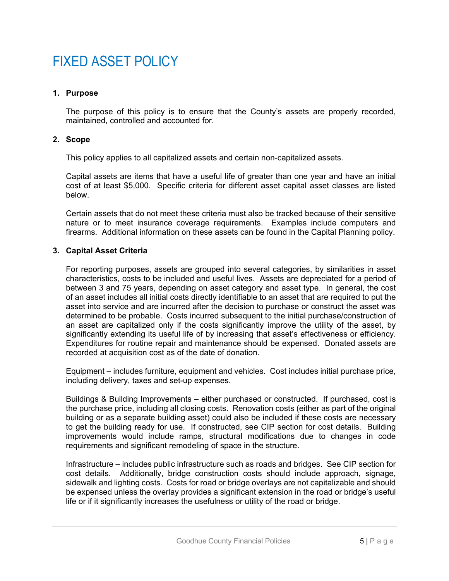# FIXED ASSET POLICY

# **1. Purpose**

The purpose of this policy is to ensure that the County's assets are properly recorded, maintained, controlled and accounted for.

### **2. Scope**

This policy applies to all capitalized assets and certain non-capitalized assets.

Capital assets are items that have a useful life of greater than one year and have an initial cost of at least \$5,000. Specific criteria for different asset capital asset classes are listed below.

Certain assets that do not meet these criteria must also be tracked because of their sensitive nature or to meet insurance coverage requirements. Examples include computers and firearms. Additional information on these assets can be found in the Capital Planning policy.

# **3. Capital Asset Criteria**

For reporting purposes, assets are grouped into several categories, by similarities in asset characteristics, costs to be included and useful lives. Assets are depreciated for a period of between 3 and 75 years, depending on asset category and asset type. In general, the cost of an asset includes all initial costs directly identifiable to an asset that are required to put the asset into service and are incurred after the decision to purchase or construct the asset was determined to be probable. Costs incurred subsequent to the initial purchase/construction of an asset are capitalized only if the costs significantly improve the utility of the asset, by significantly extending its useful life of by increasing that asset's effectiveness or efficiency. Expenditures for routine repair and maintenance should be expensed. Donated assets are recorded at acquisition cost as of the date of donation.

Equipment – includes furniture, equipment and vehicles. Cost includes initial purchase price, including delivery, taxes and set-up expenses.

Buildings & Building Improvements – either purchased or constructed. If purchased, cost is the purchase price, including all closing costs. Renovation costs (either as part of the original building or as a separate building asset) could also be included if these costs are necessary to get the building ready for use. If constructed, see CIP section for cost details. Building improvements would include ramps, structural modifications due to changes in code requirements and significant remodeling of space in the structure.

Infrastructure – includes public infrastructure such as roads and bridges. See CIP section for cost details. Additionally, bridge construction costs should include approach, signage, sidewalk and lighting costs. Costs for road or bridge overlays are not capitalizable and should be expensed unless the overlay provides a significant extension in the road or bridge's useful life or if it significantly increases the usefulness or utility of the road or bridge.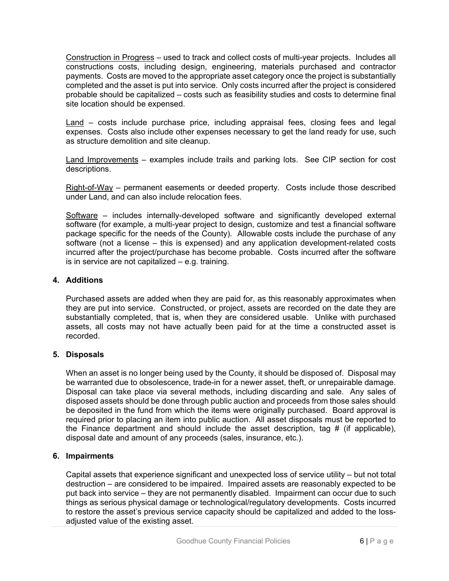Construction in Progress – used to track and collect costs of multi-year projects. Includes all constructions costs, including design, engineering, materials purchased and contractor payments. Costs are moved to the appropriate asset category once the project is substantially completed and the asset is put into service. Only costs incurred after the project is considered probable should be capitalized – costs such as feasibility studies and costs to determine final site location should be expensed.

Land – costs include purchase price, including appraisal fees, closing fees and legal expenses. Costs also include other expenses necessary to get the land ready for use, such as structure demolition and site cleanup.

Land Improvements – examples include trails and parking lots. See CIP section for cost descriptions.

Right-of-Way – permanent easements or deeded property. Costs include those described under Land, and can also include relocation fees.

Software – includes internally-developed software and significantly developed external software (for example, a multi-year project to design, customize and test a financial software package specific for the needs of the County). Allowable costs include the purchase of any software (not a license – this is expensed) and any application development-related costs incurred after the project/purchase has become probable. Costs incurred after the software is in service are not capitalized – e.g. training.

# **4. Additions**

Purchased assets are added when they are paid for, as this reasonably approximates when they are put into service. Constructed, or project, assets are recorded on the date they are substantially completed, that is, when they are considered usable. Unlike with purchased assets, all costs may not have actually been paid for at the time a constructed asset is recorded.

# **5. Disposals**

When an asset is no longer being used by the County, it should be disposed of. Disposal may be warranted due to obsolescence, trade-in for a newer asset, theft, or unrepairable damage. Disposal can take place via several methods, including discarding and sale. Any sales of disposed assets should be done through public auction and proceeds from those sales should be deposited in the fund from which the items were originally purchased. Board approval is required prior to placing an item into public auction. All asset disposals must be reported to the Finance department and should include the asset description, tag  $\#$  (if applicable), disposal date and amount of any proceeds (sales, insurance, etc.).

# **6. Impairments**

Capital assets that experience significant and unexpected loss of service utility – but not total destruction – are considered to be impaired. Impaired assets are reasonably expected to be put back into service – they are not permanently disabled. Impairment can occur due to such things as serious physical damage or technological/regulatory developments. Costs incurred to restore the asset's previous service capacity should be capitalized and added to the lossadjusted value of the existing asset.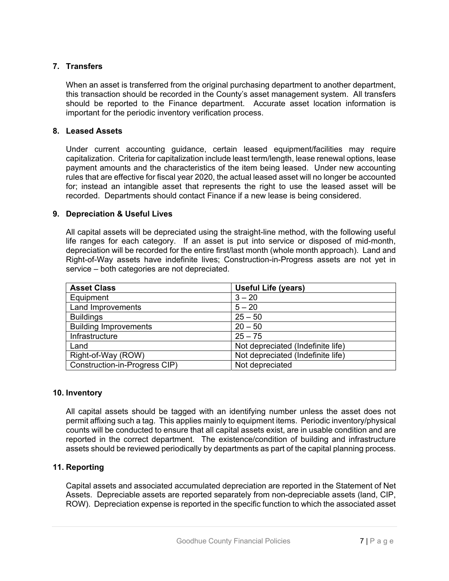# **7. Transfers**

When an asset is transferred from the original purchasing department to another department, this transaction should be recorded in the County's asset management system. All transfers should be reported to the Finance department. Accurate asset location information is important for the periodic inventory verification process.

# **8. Leased Assets**

Under current accounting guidance, certain leased equipment/facilities may require capitalization. Criteria for capitalization include least term/length, lease renewal options, lease payment amounts and the characteristics of the item being leased. Under new accounting rules that are effective for fiscal year 2020, the actual leased asset will no longer be accounted for; instead an intangible asset that represents the right to use the leased asset will be recorded. Departments should contact Finance if a new lease is being considered.

# **9. Depreciation & Useful Lives**

All capital assets will be depreciated using the straight-line method, with the following useful life ranges for each category. If an asset is put into service or disposed of mid-month, depreciation will be recorded for the entire first/last month (whole month approach). Land and Right-of-Way assets have indefinite lives; Construction-in-Progress assets are not yet in service – both categories are not depreciated.

| <b>Asset Class</b>            | <b>Useful Life (years)</b>        |
|-------------------------------|-----------------------------------|
| Equipment                     | $3 - 20$                          |
| Land Improvements             | $5 - 20$                          |
| <b>Buildings</b>              | $25 - 50$                         |
| <b>Building Improvements</b>  | $20 - 50$                         |
| Infrastructure                | $25 - 75$                         |
| Land                          | Not depreciated (Indefinite life) |
| Right-of-Way (ROW)            | Not depreciated (Indefinite life) |
| Construction-in-Progress CIP) | Not depreciated                   |

# **10. Inventory**

All capital assets should be tagged with an identifying number unless the asset does not permit affixing such a tag. This applies mainly to equipment items. Periodic inventory/physical counts will be conducted to ensure that all capital assets exist, are in usable condition and are reported in the correct department. The existence/condition of building and infrastructure assets should be reviewed periodically by departments as part of the capital planning process.

# **11. Reporting**

Capital assets and associated accumulated depreciation are reported in the Statement of Net Assets. Depreciable assets are reported separately from non-depreciable assets (land, CIP, ROW). Depreciation expense is reported in the specific function to which the associated asset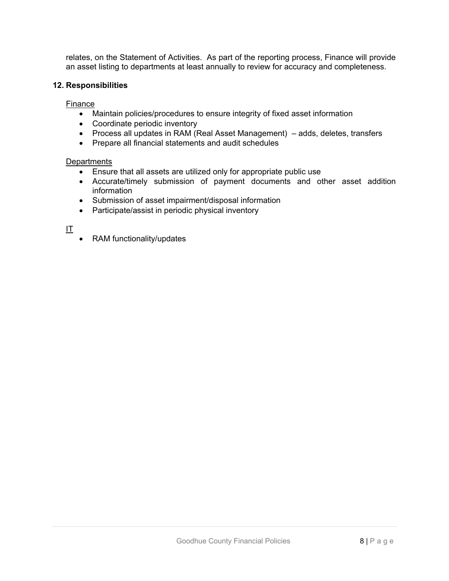relates, on the Statement of Activities. As part of the reporting process, Finance will provide an asset listing to departments at least annually to review for accuracy and completeness.

# **12. Responsibilities**

Finance

- Maintain policies/procedures to ensure integrity of fixed asset information
- Coordinate periodic inventory
- Process all updates in RAM (Real Asset Management) adds, deletes, transfers
- Prepare all financial statements and audit schedules

### **Departments**

- Ensure that all assets are utilized only for appropriate public use
- Accurate/timely submission of payment documents and other asset addition information
- Submission of asset impairment/disposal information
- Participate/assist in periodic physical inventory

 $\mathbf{I}$ 

RAM functionality/updates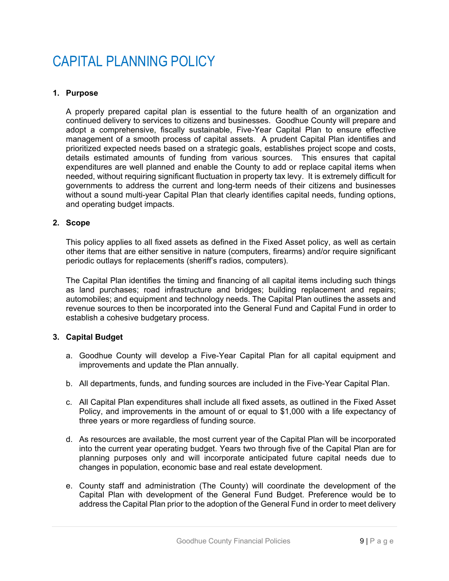# CAPITAL PLANNING POLICY

# **1. Purpose**

A properly prepared capital plan is essential to the future health of an organization and continued delivery to services to citizens and businesses. Goodhue County will prepare and adopt a comprehensive, fiscally sustainable, Five-Year Capital Plan to ensure effective management of a smooth process of capital assets. A prudent Capital Plan identifies and prioritized expected needs based on a strategic goals, establishes project scope and costs, details estimated amounts of funding from various sources. This ensures that capital expenditures are well planned and enable the County to add or replace capital items when needed, without requiring significant fluctuation in property tax levy. It is extremely difficult for governments to address the current and long-term needs of their citizens and businesses without a sound multi-year Capital Plan that clearly identifies capital needs, funding options, and operating budget impacts.

# **2. Scope**

This policy applies to all fixed assets as defined in the Fixed Asset policy, as well as certain other items that are either sensitive in nature (computers, firearms) and/or require significant periodic outlays for replacements (sheriff's radios, computers).

The Capital Plan identifies the timing and financing of all capital items including such things as land purchases; road infrastructure and bridges; building replacement and repairs; automobiles; and equipment and technology needs. The Capital Plan outlines the assets and revenue sources to then be incorporated into the General Fund and Capital Fund in order to establish a cohesive budgetary process.

# **3. Capital Budget**

- a. Goodhue County will develop a Five-Year Capital Plan for all capital equipment and improvements and update the Plan annually.
- b. All departments, funds, and funding sources are included in the Five-Year Capital Plan.
- c. All Capital Plan expenditures shall include all fixed assets, as outlined in the Fixed Asset Policy, and improvements in the amount of or equal to \$1,000 with a life expectancy of three years or more regardless of funding source.
- d. As resources are available, the most current year of the Capital Plan will be incorporated into the current year operating budget. Years two through five of the Capital Plan are for planning purposes only and will incorporate anticipated future capital needs due to changes in population, economic base and real estate development.
- e. County staff and administration (The County) will coordinate the development of the Capital Plan with development of the General Fund Budget. Preference would be to address the Capital Plan prior to the adoption of the General Fund in order to meet delivery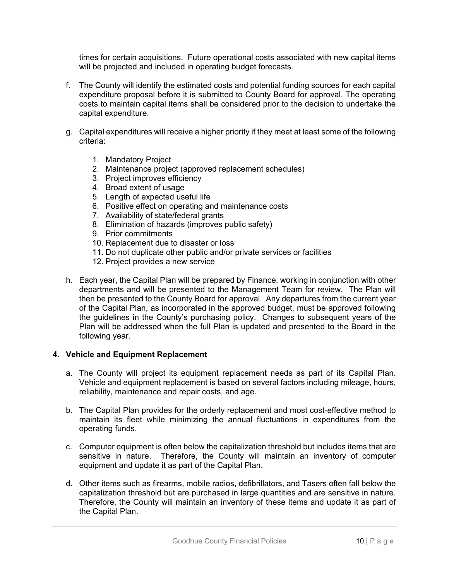times for certain acquisitions. Future operational costs associated with new capital items will be projected and included in operating budget forecasts.

- f. The County will identify the estimated costs and potential funding sources for each capital expenditure proposal before it is submitted to County Board for approval. The operating costs to maintain capital items shall be considered prior to the decision to undertake the capital expenditure.
- g. Capital expenditures will receive a higher priority if they meet at least some of the following criteria:
	- 1. Mandatory Project
	- 2. Maintenance project (approved replacement schedules)
	- 3. Project improves efficiency
	- 4. Broad extent of usage
	- 5. Length of expected useful life
	- 6. Positive effect on operating and maintenance costs
	- 7. Availability of state/federal grants
	- 8. Elimination of hazards (improves public safety)
	- 9. Prior commitments
	- 10. Replacement due to disaster or loss
	- 11. Do not duplicate other public and/or private services or facilities
	- 12. Project provides a new service
- h. Each year, the Capital Plan will be prepared by Finance, working in conjunction with other departments and will be presented to the Management Team for review. The Plan will then be presented to the County Board for approval. Any departures from the current year of the Capital Plan, as incorporated in the approved budget, must be approved following the guidelines in the County's purchasing policy. Changes to subsequent years of the Plan will be addressed when the full Plan is updated and presented to the Board in the following year.

### **4. Vehicle and Equipment Replacement**

- a. The County will project its equipment replacement needs as part of its Capital Plan. Vehicle and equipment replacement is based on several factors including mileage, hours, reliability, maintenance and repair costs, and age.
- b. The Capital Plan provides for the orderly replacement and most cost-effective method to maintain its fleet while minimizing the annual fluctuations in expenditures from the operating funds.
- c. Computer equipment is often below the capitalization threshold but includes items that are sensitive in nature. Therefore, the County will maintain an inventory of computer equipment and update it as part of the Capital Plan.
- d. Other items such as firearms, mobile radios, defibrillators, and Tasers often fall below the capitalization threshold but are purchased in large quantities and are sensitive in nature. Therefore, the County will maintain an inventory of these items and update it as part of the Capital Plan.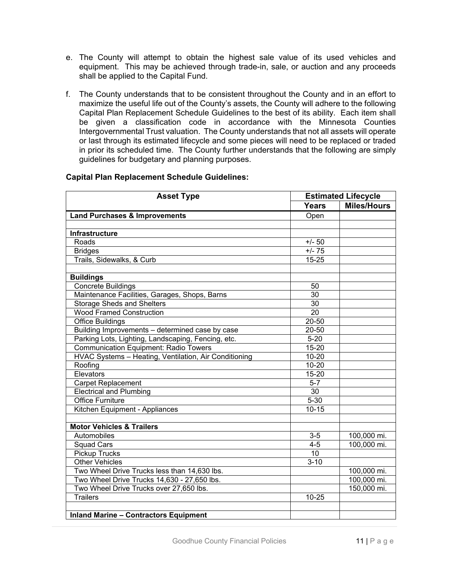- e. The County will attempt to obtain the highest sale value of its used vehicles and equipment. This may be achieved through trade-in, sale, or auction and any proceeds shall be applied to the Capital Fund.
- f. The County understands that to be consistent throughout the County and in an effort to maximize the useful life out of the County's assets, the County will adhere to the following Capital Plan Replacement Schedule Guidelines to the best of its ability. Each item shall be given a classification code in accordance with the Minnesota Counties Intergovernmental Trust valuation. The County understands that not all assets will operate or last through its estimated lifecycle and some pieces will need to be replaced or traded in prior its scheduled time. The County further understands that the following are simply guidelines for budgetary and planning purposes.

| <b>Asset Type</b>                                     | <b>Estimated Lifecycle</b> |                    |
|-------------------------------------------------------|----------------------------|--------------------|
|                                                       | <b>Years</b>               | <b>Miles/Hours</b> |
| <b>Land Purchases &amp; Improvements</b>              | Open                       |                    |
|                                                       |                            |                    |
| <b>Infrastructure</b>                                 |                            |                    |
| Roads                                                 | $+/- 50$                   |                    |
| <b>Bridges</b>                                        | $+/- 75$                   |                    |
| Trails, Sidewalks, & Curb                             | $15 - 25$                  |                    |
|                                                       |                            |                    |
| <b>Buildings</b>                                      |                            |                    |
| <b>Concrete Buildings</b>                             | 50                         |                    |
| Maintenance Facilities, Garages, Shops, Barns         | $\overline{30}$            |                    |
| <b>Storage Sheds and Shelters</b>                     | $\overline{30}$            |                    |
| <b>Wood Framed Construction</b>                       | $\overline{20}$            |                    |
| <b>Office Buildings</b>                               | $20 - 50$                  |                    |
| Building Improvements - determined case by case       | $\overline{20} - 50$       |                    |
| Parking Lots, Lighting, Landscaping, Fencing, etc.    | $5 - 20$                   |                    |
| <b>Communication Equipment: Radio Towers</b>          | $15 - 20$                  |                    |
| HVAC Systems - Heating, Ventilation, Air Conditioning | $10 - 20$                  |                    |
| Roofing                                               | $10 - 20$                  |                    |
| Elevators                                             | 15-20                      |                    |
| <b>Carpet Replacement</b>                             | $5 - 7$                    |                    |
| <b>Electrical and Plumbing</b>                        | $\overline{30}$            |                    |
| <b>Office Furniture</b>                               | $5 - 30$                   |                    |
| Kitchen Equipment - Appliances                        | $10 - 15$                  |                    |
|                                                       |                            |                    |
| <b>Motor Vehicles &amp; Trailers</b>                  |                            |                    |
| Automobiles                                           | $3-5$                      | 100,000 mi.        |
| <b>Squad Cars</b>                                     | $4 - 5$                    | 100,000 mi.        |
| <b>Pickup Trucks</b>                                  | 10                         |                    |
| <b>Other Vehicles</b>                                 | $3 - 10$                   |                    |
| Two Wheel Drive Trucks less than 14,630 lbs.          |                            | 100,000 mi.        |
| Two Wheel Drive Trucks 14,630 - 27,650 lbs.           |                            | 100,000 mi.        |
| Two Wheel Drive Trucks over 27,650 lbs.               |                            | 150,000 mi.        |
| <b>Trailers</b>                                       | $10 - 25$                  |                    |
|                                                       |                            |                    |
| <b>Inland Marine - Contractors Equipment</b>          |                            |                    |

# **Capital Plan Replacement Schedule Guidelines:**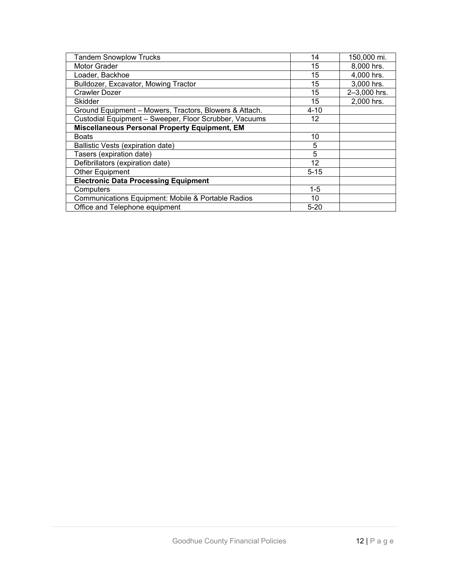| <b>Tandem Snowplow Trucks</b>                          | 14       | 150,000 mi.  |
|--------------------------------------------------------|----------|--------------|
| Motor Grader                                           | 15       | 8,000 hrs.   |
| Loader, Backhoe                                        | 15       | 4,000 hrs.   |
| Bulldozer, Excavator, Mowing Tractor                   | 15       | 3,000 hrs.   |
| Crawler Dozer                                          | 15       | 2-3,000 hrs. |
| Skidder                                                | 15       | 2,000 hrs.   |
| Ground Equipment - Mowers, Tractors, Blowers & Attach. | $4 - 10$ |              |
| Custodial Equipment - Sweeper, Floor Scrubber, Vacuums | 12       |              |
| Miscellaneous Personal Property Equipment, EM          |          |              |
| <b>Boats</b>                                           | 10       |              |
| Ballistic Vests (expiration date)                      | 5        |              |
| Tasers (expiration date)                               | 5        |              |
| Defibrillators (expiration date)                       | 12       |              |
| <b>Other Equipment</b>                                 | $5 - 15$ |              |
| <b>Electronic Data Processing Equipment</b>            |          |              |
| Computers                                              | $1 - 5$  |              |
| Communications Equipment: Mobile & Portable Radios     | 10       |              |
| Office and Telephone equipment                         | $5 - 20$ |              |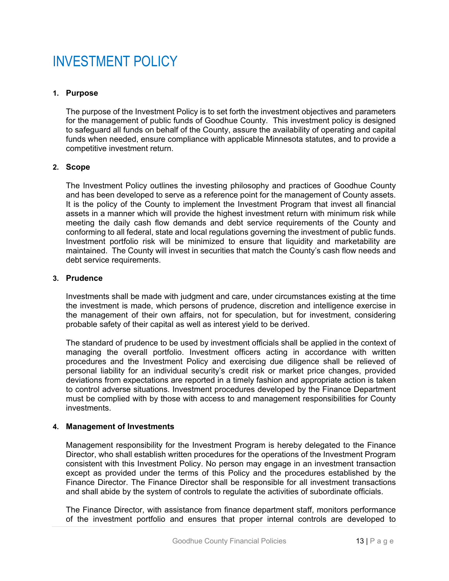# INVESTMENT POLICY

# **1. Purpose**

The purpose of the Investment Policy is to set forth the investment objectives and parameters for the management of public funds of Goodhue County. This investment policy is designed to safeguard all funds on behalf of the County, assure the availability of operating and capital funds when needed, ensure compliance with applicable Minnesota statutes, and to provide a competitive investment return.

#### **2. Scope**

The Investment Policy outlines the investing philosophy and practices of Goodhue County and has been developed to serve as a reference point for the management of County assets. It is the policy of the County to implement the Investment Program that invest all financial assets in a manner which will provide the highest investment return with minimum risk while meeting the daily cash flow demands and debt service requirements of the County and conforming to all federal, state and local regulations governing the investment of public funds. Investment portfolio risk will be minimized to ensure that liquidity and marketability are maintained. The County will invest in securities that match the County's cash flow needs and debt service requirements.

#### **3. Prudence**

Investments shall be made with judgment and care, under circumstances existing at the time the investment is made, which persons of prudence, discretion and intelligence exercise in the management of their own affairs, not for speculation, but for investment, considering probable safety of their capital as well as interest yield to be derived.

The standard of prudence to be used by investment officials shall be applied in the context of managing the overall portfolio. Investment officers acting in accordance with written procedures and the Investment Policy and exercising due diligence shall be relieved of personal liability for an individual security's credit risk or market price changes, provided deviations from expectations are reported in a timely fashion and appropriate action is taken to control adverse situations. Investment procedures developed by the Finance Department must be complied with by those with access to and management responsibilities for County investments.

# **4. Management of Investments**

Management responsibility for the Investment Program is hereby delegated to the Finance Director, who shall establish written procedures for the operations of the Investment Program consistent with this Investment Policy. No person may engage in an investment transaction except as provided under the terms of this Policy and the procedures established by the Finance Director. The Finance Director shall be responsible for all investment transactions and shall abide by the system of controls to regulate the activities of subordinate officials.

The Finance Director, with assistance from finance department staff, monitors performance of the investment portfolio and ensures that proper internal controls are developed to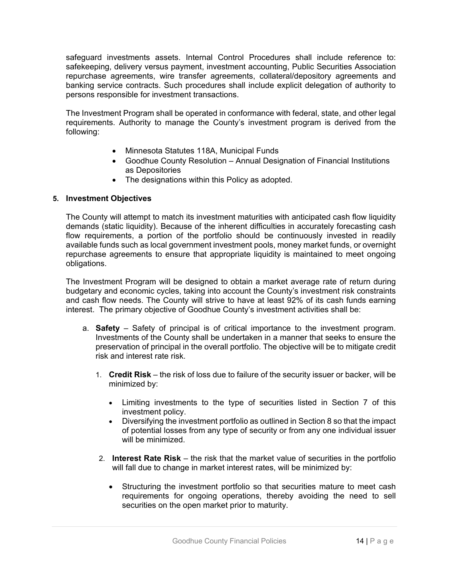safeguard investments assets. Internal Control Procedures shall include reference to: safekeeping, delivery versus payment, investment accounting, Public Securities Association repurchase agreements, wire transfer agreements, collateral/depository agreements and banking service contracts. Such procedures shall include explicit delegation of authority to persons responsible for investment transactions.

The Investment Program shall be operated in conformance with federal, state, and other legal requirements. Authority to manage the County's investment program is derived from the following:

- Minnesota Statutes 118A, Municipal Funds
- Goodhue County Resolution Annual Designation of Financial Institutions as Depositories
- The designations within this Policy as adopted.

# **5. Investment Objectives**

The County will attempt to match its investment maturities with anticipated cash flow liquidity demands (static liquidity). Because of the inherent difficulties in accurately forecasting cash flow requirements, a portion of the portfolio should be continuously invested in readily available funds such as local government investment pools, money market funds, or overnight repurchase agreements to ensure that appropriate liquidity is maintained to meet ongoing obligations.

The Investment Program will be designed to obtain a market average rate of return during budgetary and economic cycles, taking into account the County's investment risk constraints and cash flow needs. The County will strive to have at least 92% of its cash funds earning interest. The primary objective of Goodhue County's investment activities shall be:

- a. **Safety**  Safety of principal is of critical importance to the investment program. Investments of the County shall be undertaken in a manner that seeks to ensure the preservation of principal in the overall portfolio. The objective will be to mitigate credit risk and interest rate risk.
	- 1. **Credit Risk**  the risk of loss due to failure of the security issuer or backer, will be minimized by:
		- Limiting investments to the type of securities listed in Section 7 of this investment policy.
		- Diversifying the investment portfolio as outlined in Section 8 so that the impact of potential losses from any type of security or from any one individual issuer will be minimized.
	- 2. **Interest Rate Risk**  the risk that the market value of securities in the portfolio will fall due to change in market interest rates, will be minimized by:
		- Structuring the investment portfolio so that securities mature to meet cash requirements for ongoing operations, thereby avoiding the need to sell securities on the open market prior to maturity.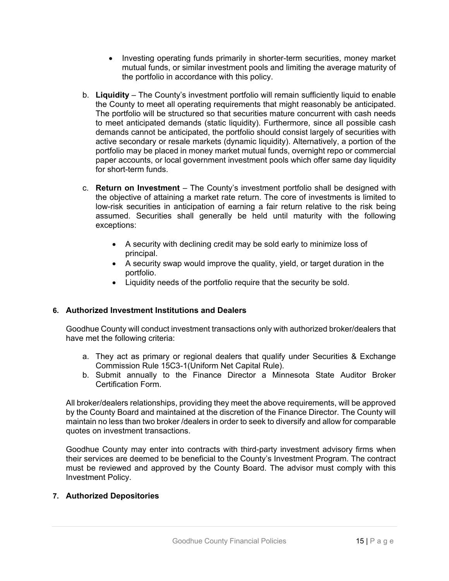- Investing operating funds primarily in shorter-term securities, money market mutual funds, or similar investment pools and limiting the average maturity of the portfolio in accordance with this policy.
- b. **Liquidity**  The County's investment portfolio will remain sufficiently liquid to enable the County to meet all operating requirements that might reasonably be anticipated. The portfolio will be structured so that securities mature concurrent with cash needs to meet anticipated demands (static liquidity). Furthermore, since all possible cash demands cannot be anticipated, the portfolio should consist largely of securities with active secondary or resale markets (dynamic liquidity). Alternatively, a portion of the portfolio may be placed in money market mutual funds, overnight repo or commercial paper accounts, or local government investment pools which offer same day liquidity for short-term funds.
- c. **Return on Investment**  The County's investment portfolio shall be designed with the objective of attaining a market rate return. The core of investments is limited to low-risk securities in anticipation of earning a fair return relative to the risk being assumed. Securities shall generally be held until maturity with the following exceptions:
	- A security with declining credit may be sold early to minimize loss of principal.
	- A security swap would improve the quality, yield, or target duration in the portfolio.
	- Liquidity needs of the portfolio require that the security be sold.

# **6. Authorized Investment Institutions and Dealers**

Goodhue County will conduct investment transactions only with authorized broker/dealers that have met the following criteria:

- a. They act as primary or regional dealers that qualify under Securities & Exchange Commission Rule 15C3-1(Uniform Net Capital Rule).
- b. Submit annually to the Finance Director a Minnesota State Auditor Broker Certification Form.

All broker/dealers relationships, providing they meet the above requirements, will be approved by the County Board and maintained at the discretion of the Finance Director. The County will maintain no less than two broker /dealers in order to seek to diversify and allow for comparable quotes on investment transactions.

Goodhue County may enter into contracts with third-party investment advisory firms when their services are deemed to be beneficial to the County's Investment Program. The contract must be reviewed and approved by the County Board. The advisor must comply with this Investment Policy.

# **7. Authorized Depositories**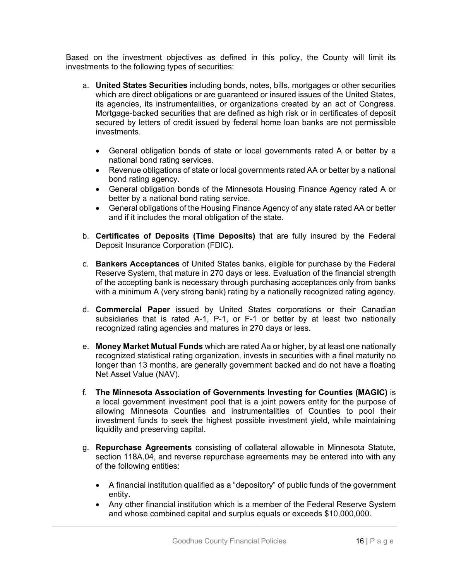Based on the investment objectives as defined in this policy, the County will limit its investments to the following types of securities:

- a. **United States Securities** including bonds, notes, bills, mortgages or other securities which are direct obligations or are guaranteed or insured issues of the United States, its agencies, its instrumentalities, or organizations created by an act of Congress. Mortgage-backed securities that are defined as high risk or in certificates of deposit secured by letters of credit issued by federal home loan banks are not permissible investments.
	- General obligation bonds of state or local governments rated A or better by a national bond rating services.
	- Revenue obligations of state or local governments rated AA or better by a national bond rating agency.
	- General obligation bonds of the Minnesota Housing Finance Agency rated A or better by a national bond rating service.
	- General obligations of the Housing Finance Agency of any state rated AA or better and if it includes the moral obligation of the state.
- b. **Certificates of Deposits (Time Deposits)** that are fully insured by the Federal Deposit Insurance Corporation (FDIC).
- c. **Bankers Acceptances** of United States banks, eligible for purchase by the Federal Reserve System, that mature in 270 days or less. Evaluation of the financial strength of the accepting bank is necessary through purchasing acceptances only from banks with a minimum A (very strong bank) rating by a nationally recognized rating agency.
- d. **Commercial Paper** issued by United States corporations or their Canadian subsidiaries that is rated A-1, P-1, or F-1 or better by at least two nationally recognized rating agencies and matures in 270 days or less.
- e. **Money Market Mutual Funds** which are rated Aa or higher, by at least one nationally recognized statistical rating organization, invests in securities with a final maturity no longer than 13 months, are generally government backed and do not have a floating Net Asset Value (NAV).
- f. **The Minnesota Association of Governments Investing for Counties (MAGIC)** is a local government investment pool that is a joint powers entity for the purpose of allowing Minnesota Counties and instrumentalities of Counties to pool their investment funds to seek the highest possible investment yield, while maintaining liquidity and preserving capital.
- g. **Repurchase Agreements** consisting of collateral allowable in Minnesota Statute, section 118A.04, and reverse repurchase agreements may be entered into with any of the following entities:
	- A financial institution qualified as a "depository" of public funds of the government entity.
	- Any other financial institution which is a member of the Federal Reserve System and whose combined capital and surplus equals or exceeds \$10,000,000.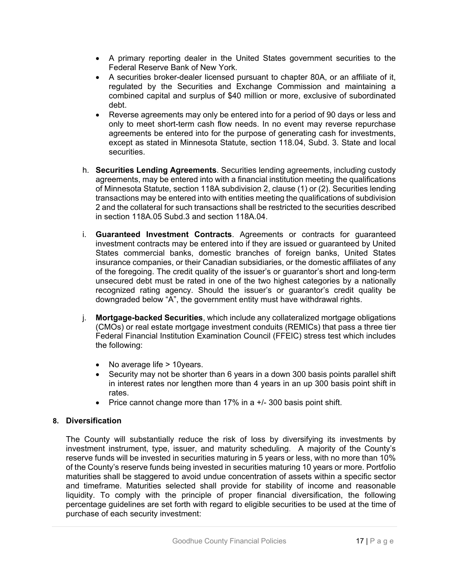- A primary reporting dealer in the United States government securities to the Federal Reserve Bank of New York.
- A securities broker-dealer licensed pursuant to chapter 80A, or an affiliate of it, regulated by the Securities and Exchange Commission and maintaining a combined capital and surplus of \$40 million or more, exclusive of subordinated debt.
- Reverse agreements may only be entered into for a period of 90 days or less and only to meet short-term cash flow needs. In no event may reverse repurchase agreements be entered into for the purpose of generating cash for investments, except as stated in Minnesota Statute, section 118.04, Subd. 3. State and local securities.
- h. **Securities Lending Agreements**. Securities lending agreements, including custody agreements, may be entered into with a financial institution meeting the qualifications of Minnesota Statute, section 118A subdivision 2, clause (1) or (2). Securities lending transactions may be entered into with entities meeting the qualifications of subdivision 2 and the collateral for such transactions shall be restricted to the securities described in section 118A.05 Subd.3 and section 118A.04.
- i. **Guaranteed Investment Contracts**. Agreements or contracts for guaranteed investment contracts may be entered into if they are issued or guaranteed by United States commercial banks, domestic branches of foreign banks, United States insurance companies, or their Canadian subsidiaries, or the domestic affiliates of any of the foregoing. The credit quality of the issuer's or guarantor's short and long-term unsecured debt must be rated in one of the two highest categories by a nationally recognized rating agency. Should the issuer's or guarantor's credit quality be downgraded below "A", the government entity must have withdrawal rights.
- j. **Mortgage-backed Securities**, which include any collateralized mortgage obligations (CMOs) or real estate mortgage investment conduits (REMICs) that pass a three tier Federal Financial Institution Examination Council (FFEIC) stress test which includes the following:
	- No average life > 10years.
	- Security may not be shorter than 6 years in a down 300 basis points parallel shift in interest rates nor lengthen more than 4 years in an up 300 basis point shift in rates.
	- Price cannot change more than  $17\%$  in a  $+/-$  300 basis point shift.

# **8. Diversification**

The County will substantially reduce the risk of loss by diversifying its investments by investment instrument, type, issuer, and maturity scheduling. A majority of the County's reserve funds will be invested in securities maturing in 5 years or less, with no more than 10% of the County's reserve funds being invested in securities maturing 10 years or more. Portfolio maturities shall be staggered to avoid undue concentration of assets within a specific sector and timeframe. Maturities selected shall provide for stability of income and reasonable liquidity. To comply with the principle of proper financial diversification, the following percentage guidelines are set forth with regard to eligible securities to be used at the time of purchase of each security investment: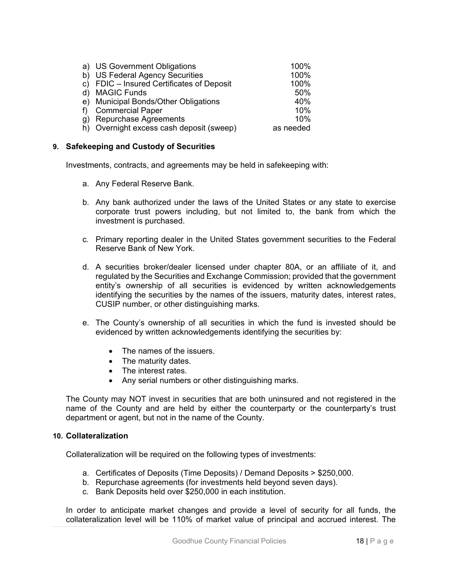| a) US Government Obligations              | 100%      |
|-------------------------------------------|-----------|
| b) US Federal Agency Securities           | 100%      |
| c) FDIC - Insured Certificates of Deposit | 100%      |
| d) MAGIC Funds                            | 50%       |
| e) Municipal Bonds/Other Obligations      | 40%       |
| f) Commercial Paper                       | 10%       |
| g) Repurchase Agreements                  | 10%       |
| h) Overnight excess cash deposit (sweep)  | as needed |

#### **9. Safekeeping and Custody of Securities**

Investments, contracts, and agreements may be held in safekeeping with:

- a. Any Federal Reserve Bank.
- b. Any bank authorized under the laws of the United States or any state to exercise corporate trust powers including, but not limited to, the bank from which the investment is purchased.
- c. Primary reporting dealer in the United States government securities to the Federal Reserve Bank of New York.
- d. A securities broker/dealer licensed under chapter 80A, or an affiliate of it, and regulated by the Securities and Exchange Commission; provided that the government entity's ownership of all securities is evidenced by written acknowledgements identifying the securities by the names of the issuers, maturity dates, interest rates, CUSIP number, or other distinguishing marks.
- e. The County's ownership of all securities in which the fund is invested should be evidenced by written acknowledgements identifying the securities by:
	- The names of the issuers.
	- The maturity dates.
	- The interest rates.
	- Any serial numbers or other distinguishing marks.

The County may NOT invest in securities that are both uninsured and not registered in the name of the County and are held by either the counterparty or the counterparty's trust department or agent, but not in the name of the County.

#### **10. Collateralization**

Collateralization will be required on the following types of investments:

- a. Certificates of Deposits (Time Deposits) / Demand Deposits > \$250,000.
- b. Repurchase agreements (for investments held beyond seven days).
- c. Bank Deposits held over \$250,000 in each institution.

In order to anticipate market changes and provide a level of security for all funds, the collateralization level will be 110% of market value of principal and accrued interest. The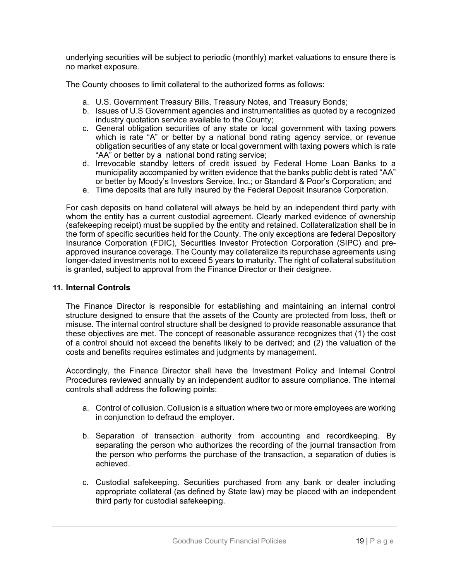underlying securities will be subject to periodic (monthly) market valuations to ensure there is no market exposure.

The County chooses to limit collateral to the authorized forms as follows:

- a. U.S. Government Treasury Bills, Treasury Notes, and Treasury Bonds;
- b. Issues of U.S Government agencies and instrumentalities as quoted by a recognized industry quotation service available to the County;
- c. General obligation securities of any state or local government with taxing powers which is rate "A" or better by a national bond rating agency service, or revenue obligation securities of any state or local government with taxing powers which is rate "AA" or better by a national bond rating service;
- d. Irrevocable standby letters of credit issued by Federal Home Loan Banks to a municipality accompanied by written evidence that the banks public debt is rated "AA" or better by Moody's Investors Service, Inc.; or Standard & Poor's Corporation; and
- e. Time deposits that are fully insured by the Federal Deposit Insurance Corporation.

For cash deposits on hand collateral will always be held by an independent third party with whom the entity has a current custodial agreement. Clearly marked evidence of ownership (safekeeping receipt) must be supplied by the entity and retained. Collateralization shall be in the form of specific securities held for the County. The only exceptions are federal Depository Insurance Corporation (FDIC), Securities Investor Protection Corporation (SIPC) and preapproved insurance coverage. The County may collateralize its repurchase agreements using longer-dated investments not to exceed 5 years to maturity. The right of collateral substitution is granted, subject to approval from the Finance Director or their designee.

# **11. Internal Controls**

The Finance Director is responsible for establishing and maintaining an internal control structure designed to ensure that the assets of the County are protected from loss, theft or misuse. The internal control structure shall be designed to provide reasonable assurance that these objectives are met. The concept of reasonable assurance recognizes that (1) the cost of a control should not exceed the benefits likely to be derived; and (2) the valuation of the costs and benefits requires estimates and judgments by management.

Accordingly, the Finance Director shall have the Investment Policy and Internal Control Procedures reviewed annually by an independent auditor to assure compliance. The internal controls shall address the following points:

- a. Control of collusion. Collusion is a situation where two or more employees are working in conjunction to defraud the employer.
- b. Separation of transaction authority from accounting and recordkeeping. By separating the person who authorizes the recording of the journal transaction from the person who performs the purchase of the transaction, a separation of duties is achieved.
- c. Custodial safekeeping. Securities purchased from any bank or dealer including appropriate collateral (as defined by State law) may be placed with an independent third party for custodial safekeeping.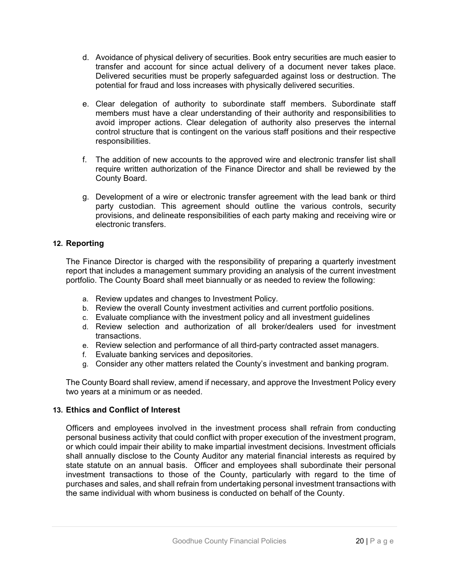- d. Avoidance of physical delivery of securities. Book entry securities are much easier to transfer and account for since actual delivery of a document never takes place. Delivered securities must be properly safeguarded against loss or destruction. The potential for fraud and loss increases with physically delivered securities.
- e. Clear delegation of authority to subordinate staff members. Subordinate staff members must have a clear understanding of their authority and responsibilities to avoid improper actions. Clear delegation of authority also preserves the internal control structure that is contingent on the various staff positions and their respective responsibilities.
- f. The addition of new accounts to the approved wire and electronic transfer list shall require written authorization of the Finance Director and shall be reviewed by the County Board.
- g. Development of a wire or electronic transfer agreement with the lead bank or third party custodian. This agreement should outline the various controls, security provisions, and delineate responsibilities of each party making and receiving wire or electronic transfers.

# **12. Reporting**

The Finance Director is charged with the responsibility of preparing a quarterly investment report that includes a management summary providing an analysis of the current investment portfolio. The County Board shall meet biannually or as needed to review the following:

- a. Review updates and changes to Investment Policy.
- b. Review the overall County investment activities and current portfolio positions.
- c. Evaluate compliance with the investment policy and all investment guidelines
- d. Review selection and authorization of all broker/dealers used for investment transactions.
- e. Review selection and performance of all third-party contracted asset managers.
- f. Evaluate banking services and depositories.
- g. Consider any other matters related the County's investment and banking program.

The County Board shall review, amend if necessary, and approve the Investment Policy every two years at a minimum or as needed.

# **13. Ethics and Conflict of Interest**

Officers and employees involved in the investment process shall refrain from conducting personal business activity that could conflict with proper execution of the investment program, or which could impair their ability to make impartial investment decisions. Investment officials shall annually disclose to the County Auditor any material financial interests as required by state statute on an annual basis. Officer and employees shall subordinate their personal investment transactions to those of the County, particularly with regard to the time of purchases and sales, and shall refrain from undertaking personal investment transactions with the same individual with whom business is conducted on behalf of the County.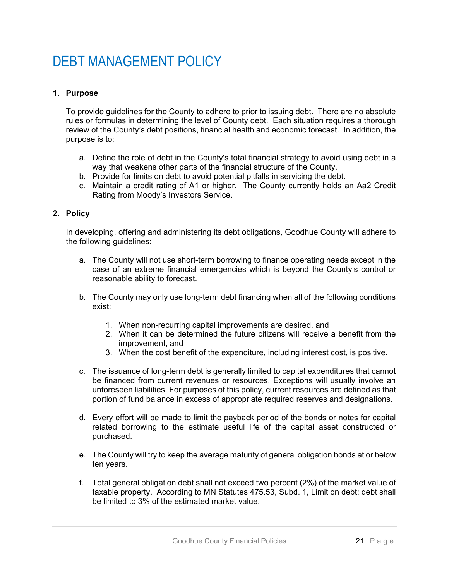# DEBT MANAGEMENT POLICY

# **1. Purpose**

To provide guidelines for the County to adhere to prior to issuing debt. There are no absolute rules or formulas in determining the level of County debt. Each situation requires a thorough review of the County's debt positions, financial health and economic forecast. In addition, the purpose is to:

- a. Define the role of debt in the County's total financial strategy to avoid using debt in a way that weakens other parts of the financial structure of the County.
- b. Provide for limits on debt to avoid potential pitfalls in servicing the debt.
- c. Maintain a credit rating of A1 or higher. The County currently holds an Aa2 Credit Rating from Moody's Investors Service.

#### **2. Policy**

In developing, offering and administering its debt obligations, Goodhue County will adhere to the following guidelines:

- a. The County will not use short-term borrowing to finance operating needs except in the case of an extreme financial emergencies which is beyond the County's control or reasonable ability to forecast.
- b. The County may only use long-term debt financing when all of the following conditions exist:
	- 1. When non-recurring capital improvements are desired, and
	- 2. When it can be determined the future citizens will receive a benefit from the improvement, and
	- 3. When the cost benefit of the expenditure, including interest cost, is positive.
- c. The issuance of long-term debt is generally limited to capital expenditures that cannot be financed from current revenues or resources. Exceptions will usually involve an unforeseen liabilities. For purposes of this policy, current resources are defined as that portion of fund balance in excess of appropriate required reserves and designations.
- d. Every effort will be made to limit the payback period of the bonds or notes for capital related borrowing to the estimate useful life of the capital asset constructed or purchased.
- e. The County will try to keep the average maturity of general obligation bonds at or below ten years.
- f. Total general obligation debt shall not exceed two percent (2%) of the market value of taxable property. According to MN Statutes 475.53, Subd. 1, Limit on debt; debt shall be limited to 3% of the estimated market value.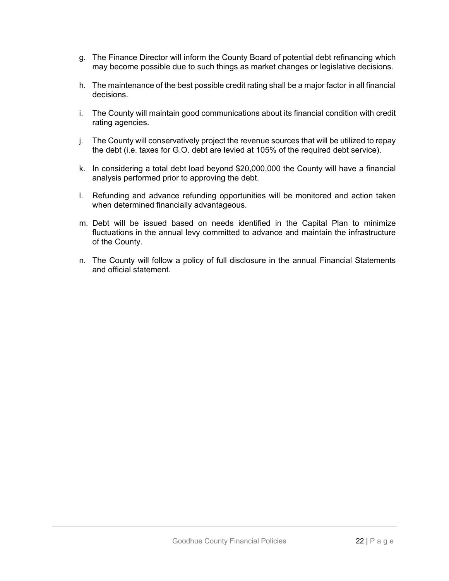- g. The Finance Director will inform the County Board of potential debt refinancing which may become possible due to such things as market changes or legislative decisions.
- h. The maintenance of the best possible credit rating shall be a major factor in all financial decisions.
- i. The County will maintain good communications about its financial condition with credit rating agencies.
- j. The County will conservatively project the revenue sources that will be utilized to repay the debt (i.e. taxes for G.O. debt are levied at 105% of the required debt service).
- k. In considering a total debt load beyond \$20,000,000 the County will have a financial analysis performed prior to approving the debt.
- l. Refunding and advance refunding opportunities will be monitored and action taken when determined financially advantageous.
- m. Debt will be issued based on needs identified in the Capital Plan to minimize fluctuations in the annual levy committed to advance and maintain the infrastructure of the County.
- n. The County will follow a policy of full disclosure in the annual Financial Statements and official statement.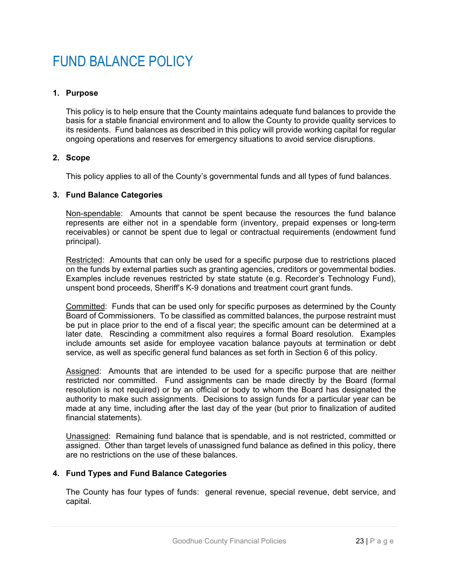# FUND BALANCE POLICY

# **1. Purpose**

This policy is to help ensure that the County maintains adequate fund balances to provide the basis for a stable financial environment and to allow the County to provide quality services to its residents. Fund balances as described in this policy will provide working capital for regular ongoing operations and reserves for emergency situations to avoid service disruptions.

#### **2. Scope**

This policy applies to all of the County's governmental funds and all types of fund balances.

#### **3. Fund Balance Categories**

Non-spendable: Amounts that cannot be spent because the resources the fund balance represents are either not in a spendable form (inventory, prepaid expenses or long-term receivables) or cannot be spent due to legal or contractual requirements (endowment fund principal).

Restricted: Amounts that can only be used for a specific purpose due to restrictions placed on the funds by external parties such as granting agencies, creditors or governmental bodies. Examples include revenues restricted by state statute (e.g. Recorder's Technology Fund), unspent bond proceeds, Sheriff's K-9 donations and treatment court grant funds.

Committed: Funds that can be used only for specific purposes as determined by the County Board of Commissioners. To be classified as committed balances, the purpose restraint must be put in place prior to the end of a fiscal year; the specific amount can be determined at a later date. Rescinding a commitment also requires a formal Board resolution. Examples include amounts set aside for employee vacation balance payouts at termination or debt service, as well as specific general fund balances as set forth in Section 6 of this policy.

Assigned: Amounts that are intended to be used for a specific purpose that are neither restricted nor committed. Fund assignments can be made directly by the Board (formal resolution is not required) or by an official or body to whom the Board has designated the authority to make such assignments. Decisions to assign funds for a particular year can be made at any time, including after the last day of the year (but prior to finalization of audited financial statements).

Unassigned: Remaining fund balance that is spendable, and is not restricted, committed or assigned. Other than target levels of unassigned fund balance as defined in this policy, there are no restrictions on the use of these balances.

# **4. Fund Types and Fund Balance Categories**

The County has four types of funds: general revenue, special revenue, debt service, and capital.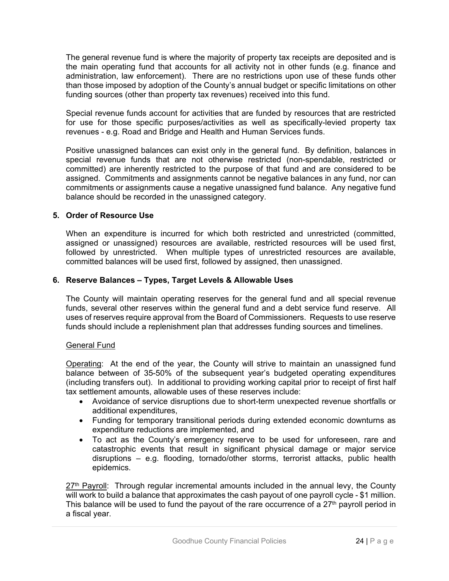The general revenue fund is where the majority of property tax receipts are deposited and is the main operating fund that accounts for all activity not in other funds (e.g. finance and administration, law enforcement). There are no restrictions upon use of these funds other than those imposed by adoption of the County's annual budget or specific limitations on other funding sources (other than property tax revenues) received into this fund.

Special revenue funds account for activities that are funded by resources that are restricted for use for those specific purposes/activities as well as specifically-levied property tax revenues - e.g. Road and Bridge and Health and Human Services funds.

Positive unassigned balances can exist only in the general fund. By definition, balances in special revenue funds that are not otherwise restricted (non-spendable, restricted or committed) are inherently restricted to the purpose of that fund and are considered to be assigned. Commitments and assignments cannot be negative balances in any fund, nor can commitments or assignments cause a negative unassigned fund balance. Any negative fund balance should be recorded in the unassigned category.

# **5. Order of Resource Use**

When an expenditure is incurred for which both restricted and unrestricted (committed, assigned or unassigned) resources are available, restricted resources will be used first, followed by unrestricted. When multiple types of unrestricted resources are available, committed balances will be used first, followed by assigned, then unassigned.

# **6. Reserve Balances – Types, Target Levels & Allowable Uses**

The County will maintain operating reserves for the general fund and all special revenue funds, several other reserves within the general fund and a debt service fund reserve. All uses of reserves require approval from the Board of Commissioners. Requests to use reserve funds should include a replenishment plan that addresses funding sources and timelines.

# General Fund

Operating: At the end of the year, the County will strive to maintain an unassigned fund balance between of 35-50% of the subsequent year's budgeted operating expenditures (including transfers out). In additional to providing working capital prior to receipt of first half tax settlement amounts, allowable uses of these reserves include:

- Avoidance of service disruptions due to short-term unexpected revenue shortfalls or additional expenditures,
- Funding for temporary transitional periods during extended economic downturns as expenditure reductions are implemented, and
- To act as the County's emergency reserve to be used for unforeseen, rare and catastrophic events that result in significant physical damage or major service disruptions – e.g. flooding, tornado/other storms, terrorist attacks, public health epidemics.

 $27<sup>th</sup>$  Payroll: Through regular incremental amounts included in the annual levy, the County will work to build a balance that approximates the cash payout of one payroll cycle - \$1 million. This balance will be used to fund the payout of the rare occurrence of a  $27<sup>th</sup>$  payroll period in a fiscal year.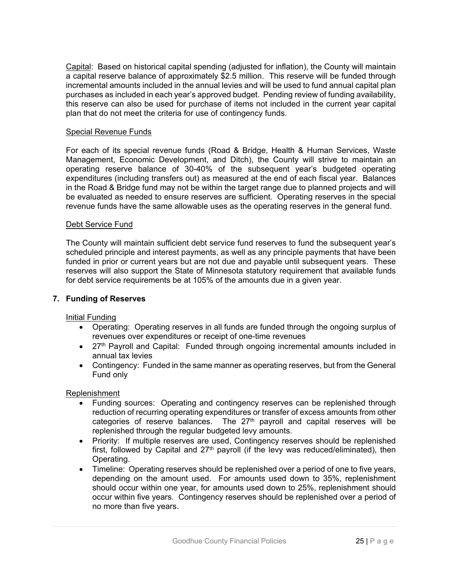Capital: Based on historical capital spending (adjusted for inflation), the County will maintain a capital reserve balance of approximately \$2.5 million. This reserve will be funded through incremental amounts included in the annual levies and will be used to fund annual capital plan purchases as included in each year's approved budget. Pending review of funding availability, this reserve can also be used for purchase of items not included in the current year capital plan that do not meet the criteria for use of contingency funds.

### Special Revenue Funds

For each of its special revenue funds (Road & Bridge, Health & Human Services, Waste Management, Economic Development, and Ditch), the County will strive to maintain an operating reserve balance of 30-40% of the subsequent year's budgeted operating expenditures (including transfers out) as measured at the end of each fiscal year. Balances in the Road & Bridge fund may not be within the target range due to planned projects and will be evaluated as needed to ensure reserves are sufficient. Operating reserves in the special revenue funds have the same allowable uses as the operating reserves in the general fund.

#### Debt Service Fund

The County will maintain sufficient debt service fund reserves to fund the subsequent year's scheduled principle and interest payments, as well as any principle payments that have been funded in prior or current years but are not due and payable until subsequent years. These reserves will also support the State of Minnesota statutory requirement that available funds for debt service requirements be at 105% of the amounts due in a given year.

# **7. Funding of Reserves**

# Initial Funding

- Operating: Operating reserves in all funds are funded through the ongoing surplus of revenues over expenditures or receipt of one-time revenues
- 27<sup>th</sup> Payroll and Capital: Funded through ongoing incremental amounts included in annual tax levies
- Contingency: Funded in the same manner as operating reserves, but from the General Fund only

#### Replenishment

- Funding sources: Operating and contingency reserves can be replenished through reduction of recurring operating expenditures or transfer of excess amounts from other categories of reserve balances. The  $27<sup>th</sup>$  payroll and capital reserves will be replenished through the regular budgeted levy amounts.
- Priority: If multiple reserves are used, Contingency reserves should be replenished first, followed by Capital and  $27<sup>th</sup>$  payroll (if the levy was reduced/eliminated), then Operating.
- Timeline: Operating reserves should be replenished over a period of one to five years, depending on the amount used. For amounts used down to 35%, replenishment should occur within one year, for amounts used down to 25%, replenishment should occur within five years. Contingency reserves should be replenished over a period of no more than five years.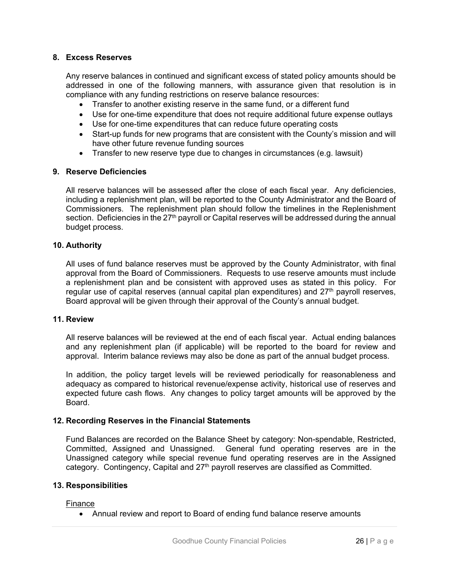#### **8. Excess Reserves**

Any reserve balances in continued and significant excess of stated policy amounts should be addressed in one of the following manners, with assurance given that resolution is in compliance with any funding restrictions on reserve balance resources:

- Transfer to another existing reserve in the same fund, or a different fund
- Use for one-time expenditure that does not require additional future expense outlays
- Use for one-time expenditures that can reduce future operating costs
- Start-up funds for new programs that are consistent with the County's mission and will have other future revenue funding sources
- Transfer to new reserve type due to changes in circumstances (e.g. lawsuit)

#### **9. Reserve Deficiencies**

All reserve balances will be assessed after the close of each fiscal year. Any deficiencies, including a replenishment plan, will be reported to the County Administrator and the Board of Commissioners. The replenishment plan should follow the timelines in the Replenishment section. Deficiencies in the 27<sup>th</sup> payroll or Capital reserves will be addressed during the annual budget process.

#### **10. Authority**

All uses of fund balance reserves must be approved by the County Administrator, with final approval from the Board of Commissioners. Requests to use reserve amounts must include a replenishment plan and be consistent with approved uses as stated in this policy. For regular use of capital reserves (annual capital plan expenditures) and  $27<sup>th</sup>$  payroll reserves, Board approval will be given through their approval of the County's annual budget.

### **11. Review**

All reserve balances will be reviewed at the end of each fiscal year. Actual ending balances and any replenishment plan (if applicable) will be reported to the board for review and approval. Interim balance reviews may also be done as part of the annual budget process.

In addition, the policy target levels will be reviewed periodically for reasonableness and adequacy as compared to historical revenue/expense activity, historical use of reserves and expected future cash flows. Any changes to policy target amounts will be approved by the Board.

# **12. Recording Reserves in the Financial Statements**

Fund Balances are recorded on the Balance Sheet by category: Non-spendable, Restricted, Committed, Assigned and Unassigned. General fund operating reserves are in the Unassigned category while special revenue fund operating reserves are in the Assigned category. Contingency, Capital and 27<sup>th</sup> payroll reserves are classified as Committed.

#### **13. Responsibilities**

Finance

Annual review and report to Board of ending fund balance reserve amounts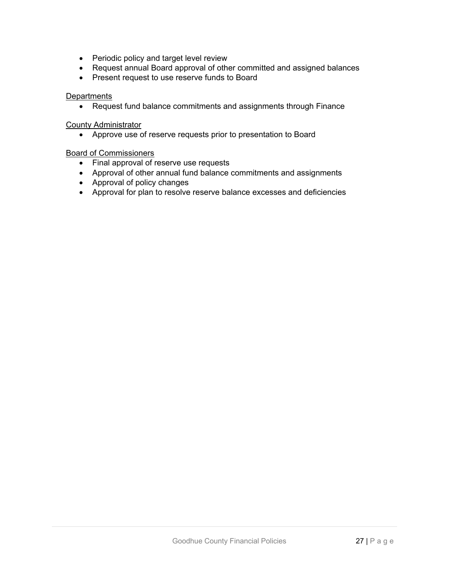- Periodic policy and target level review
- Request annual Board approval of other committed and assigned balances
- Present request to use reserve funds to Board

#### **Departments**

Request fund balance commitments and assignments through Finance

#### County Administrator

Approve use of reserve requests prior to presentation to Board

#### Board of Commissioners

- Final approval of reserve use requests
- Approval of other annual fund balance commitments and assignments
- Approval of policy changes
- Approval for plan to resolve reserve balance excesses and deficiencies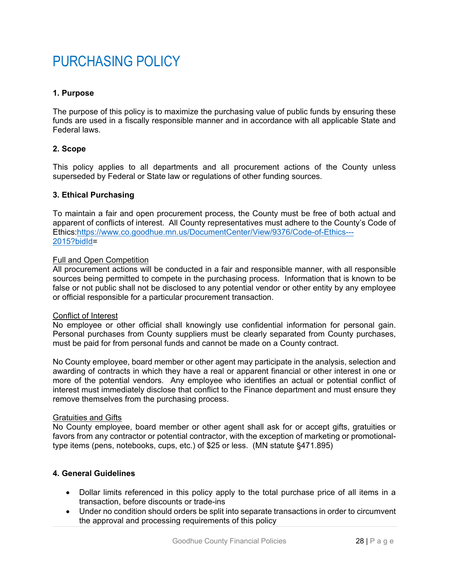# PURCHASING POLICY

# **1. Purpose**

The purpose of this policy is to maximize the purchasing value of public funds by ensuring these funds are used in a fiscally responsible manner and in accordance with all applicable State and Federal laws.

# **2. Scope**

This policy applies to all departments and all procurement actions of the County unless superseded by Federal or State law or regulations of other funding sources.

#### **3. Ethical Purchasing**

To maintain a fair and open procurement process, the County must be free of both actual and apparent of conflicts of interest. All County representatives must adhere to the County's Code of Ethics:https://www.co.goodhue.mn.us/DocumentCenter/View/9376/Code-of-Ethics--- 2015?bidId=

#### Full and Open Competition

All procurement actions will be conducted in a fair and responsible manner, with all responsible sources being permitted to compete in the purchasing process. Information that is known to be false or not public shall not be disclosed to any potential vendor or other entity by any employee or official responsible for a particular procurement transaction.

#### Conflict of Interest

No employee or other official shall knowingly use confidential information for personal gain. Personal purchases from County suppliers must be clearly separated from County purchases, must be paid for from personal funds and cannot be made on a County contract.

No County employee, board member or other agent may participate in the analysis, selection and awarding of contracts in which they have a real or apparent financial or other interest in one or more of the potential vendors. Any employee who identifies an actual or potential conflict of interest must immediately disclose that conflict to the Finance department and must ensure they remove themselves from the purchasing process.

#### Gratuities and Gifts

No County employee, board member or other agent shall ask for or accept gifts, gratuities or favors from any contractor or potential contractor, with the exception of marketing or promotionaltype items (pens, notebooks, cups, etc.) of \$25 or less. (MN statute §471.895)

#### **4. General Guidelines**

- Dollar limits referenced in this policy apply to the total purchase price of all items in a transaction, before discounts or trade-ins
- Under no condition should orders be split into separate transactions in order to circumvent the approval and processing requirements of this policy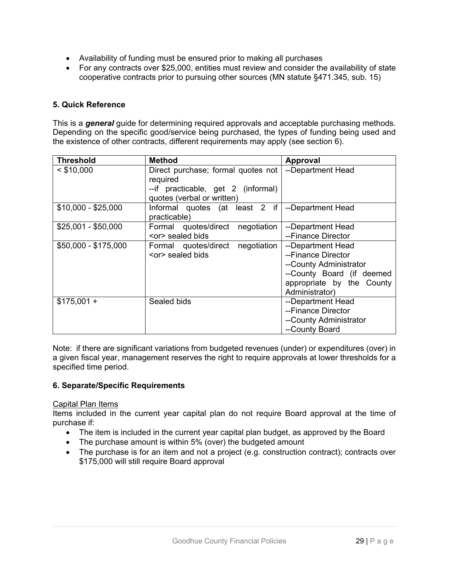- Availability of funding must be ensured prior to making all purchases
- For any contracts over \$25,000, entities must review and consider the availability of state cooperative contracts prior to pursuing other sources (MN statute §471.345, sub. 15)

# **5. Quick Reference**

This is a *general* guide for determining required approvals and acceptable purchasing methods. Depending on the specific good/service being purchased, the types of funding being used and the existence of other contracts, different requirements may apply (see section 6).

| <b>Threshold</b>     | <b>Method</b>                                                                                                      | Approval                                                                                                                                      |
|----------------------|--------------------------------------------------------------------------------------------------------------------|-----------------------------------------------------------------------------------------------------------------------------------------------|
| $<$ \$10,000         | Direct purchase; formal quotes not<br>required<br>--if practicable, get 2 (informal)<br>quotes (verbal or written) | --Department Head                                                                                                                             |
| $$10,000 - $25,000$  | Informal quotes (at least $2$ if<br>practicable)                                                                   | --Department Head                                                                                                                             |
| $$25,001 - $50,000$  | Formal quotes/direct<br>negotiation<br><or> sealed bids</or>                                                       | --Department Head<br>--Finance Director                                                                                                       |
| \$50,000 - \$175,000 | Formal quotes/direct negotiation<br><or> sealed bids</or>                                                          | --Department Head<br>--Finance Director<br>--County Administrator<br>--County Board (if deemed<br>appropriate by the County<br>Administrator) |
| $$175,001 +$         | Sealed bids                                                                                                        | --Department Head<br>--Finance Director<br>--County Administrator<br>--County Board                                                           |

Note: if there are significant variations from budgeted revenues (under) or expenditures (over) in a given fiscal year, management reserves the right to require approvals at lower thresholds for a specified time period.

# **6. Separate/Specific Requirements**

#### Capital Plan Items

Items included in the current year capital plan do not require Board approval at the time of purchase if:

- The item is included in the current year capital plan budget, as approved by the Board
- The purchase amount is within 5% (over) the budgeted amount
- The purchase is for an item and not a project (e.g. construction contract); contracts over \$175,000 will still require Board approval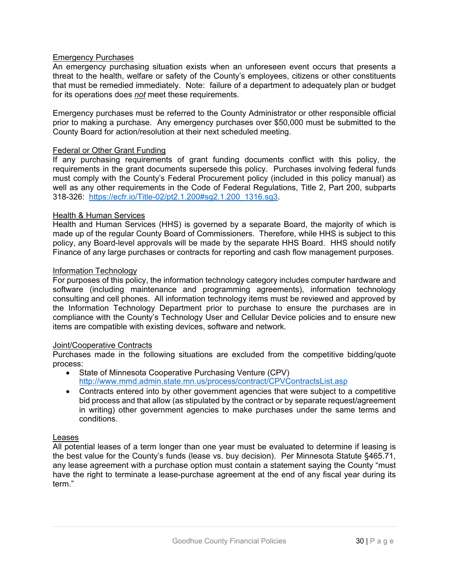# Emergency Purchases

An emergency purchasing situation exists when an unforeseen event occurs that presents a threat to the health, welfare or safety of the County's employees, citizens or other constituents that must be remedied immediately. Note: failure of a department to adequately plan or budget for its operations does *not* meet these requirements.

Emergency purchases must be referred to the County Administrator or other responsible official prior to making a purchase. Any emergency purchases over \$50,000 must be submitted to the County Board for action/resolution at their next scheduled meeting.

#### Federal or Other Grant Funding

If any purchasing requirements of grant funding documents conflict with this policy, the requirements in the grant documents supersede this policy. Purchases involving federal funds must comply with the County's Federal Procurement policy (included in this policy manual) as well as any other requirements in the Code of Federal Regulations, Title 2, Part 200, subparts 318-326: https://ecfr.io/Title-02/pt2.1.200#sg2.1.200\_1316.sg3.

#### Health & Human Services

Health and Human Services (HHS) is governed by a separate Board, the majority of which is made up of the regular County Board of Commissioners. Therefore, while HHS is subject to this policy, any Board-level approvals will be made by the separate HHS Board. HHS should notify Finance of any large purchases or contracts for reporting and cash flow management purposes.

#### Information Technology

For purposes of this policy, the information technology category includes computer hardware and software (including maintenance and programming agreements), information technology consulting and cell phones. All information technology items must be reviewed and approved by the Information Technology Department prior to purchase to ensure the purchases are in compliance with the County's Technology User and Cellular Device policies and to ensure new items are compatible with existing devices, software and network.

# Joint/Cooperative Contracts

Purchases made in the following situations are excluded from the competitive bidding/quote process:

- State of Minnesota Cooperative Purchasing Venture (CPV) http://www.mmd.admin.state.mn.us/process/contract/CPVContractsList.asp
- Contracts entered into by other government agencies that were subject to a competitive bid process and that allow (as stipulated by the contract or by separate request/agreement in writing) other government agencies to make purchases under the same terms and conditions.

#### Leases

All potential leases of a term longer than one year must be evaluated to determine if leasing is the best value for the County's funds (lease vs. buy decision). Per Minnesota Statute §465.71, any lease agreement with a purchase option must contain a statement saying the County "must have the right to terminate a lease-purchase agreement at the end of any fiscal year during its term."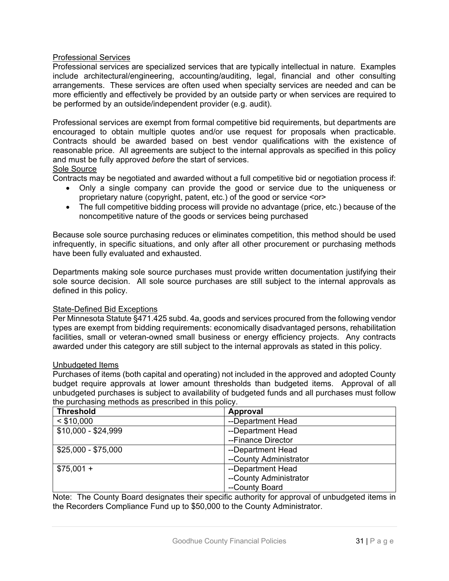# Professional Services

Professional services are specialized services that are typically intellectual in nature. Examples include architectural/engineering, accounting/auditing, legal, financial and other consulting arrangements. These services are often used when specialty services are needed and can be more efficiently and effectively be provided by an outside party or when services are required to be performed by an outside/independent provider (e.g. audit).

Professional services are exempt from formal competitive bid requirements, but departments are encouraged to obtain multiple quotes and/or use request for proposals when practicable. Contracts should be awarded based on best vendor qualifications with the existence of reasonable price. All agreements are subject to the internal approvals as specified in this policy and must be fully approved *before* the start of services.

# Sole Source

Contracts may be negotiated and awarded without a full competitive bid or negotiation process if:

- Only a single company can provide the good or service due to the uniqueness or proprietary nature (copyright, patent, etc.) of the good or service <or>
- The full competitive bidding process will provide no advantage (price, etc.) because of the noncompetitive nature of the goods or services being purchased

Because sole source purchasing reduces or eliminates competition, this method should be used infrequently, in specific situations, and only after all other procurement or purchasing methods have been fully evaluated and exhausted.

Departments making sole source purchases must provide written documentation justifying their sole source decision. All sole source purchases are still subject to the internal approvals as defined in this policy.

#### State-Defined Bid Exceptions

Per Minnesota Statute §471.425 subd. 4a, goods and services procured from the following vendor types are exempt from bidding requirements: economically disadvantaged persons, rehabilitation facilities, small or veteran-owned small business or energy efficiency projects. Any contracts awarded under this category are still subject to the internal approvals as stated in this policy.

#### Unbudgeted Items

Purchases of items (both capital and operating) not included in the approved and adopted County budget require approvals at lower amount thresholds than budgeted items. Approval of all unbudgeted purchases is subject to availability of budgeted funds and all purchases must follow the purchasing methods as prescribed in this policy.

| <b>Threshold</b>    | Approval               |
|---------------------|------------------------|
| $<$ \$10,000        | --Department Head      |
| \$10,000 - \$24,999 | --Department Head      |
|                     | --Finance Director     |
| $$25,000 - $75,000$ | --Department Head      |
|                     | --County Administrator |
| $$75,001 +$         | --Department Head      |
|                     | --County Administrator |
|                     | --County Board         |

Note: The County Board designates their specific authority for approval of unbudgeted items in the Recorders Compliance Fund up to \$50,000 to the County Administrator.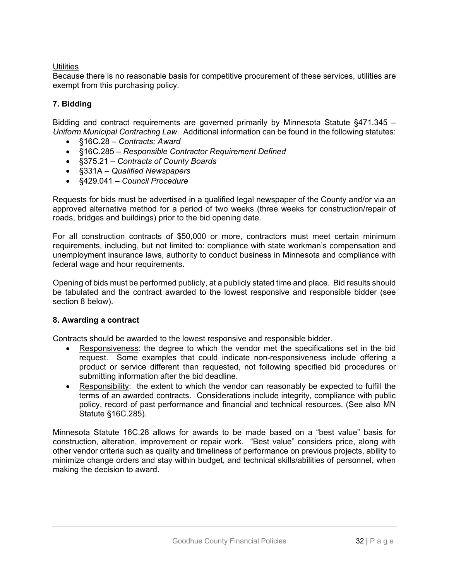# **Utilities**

Because there is no reasonable basis for competitive procurement of these services, utilities are exempt from this purchasing policy.

# **7. Bidding**

Bidding and contract requirements are governed primarily by Minnesota Statute §471.345 – *Uniform Municipal Contracting Law*. Additional information can be found in the following statutes:

- §16C.28 *Contracts; Award*
- §16C.285 *Responsible Contractor Requirement Defined*
- §375.21 *Contracts of County Boards*
- §331A *Qualified Newspapers*
- §429.041 *Council Procedure*

Requests for bids must be advertised in a qualified legal newspaper of the County and/or via an approved alternative method for a period of two weeks (three weeks for construction/repair of roads, bridges and buildings) prior to the bid opening date.

For all construction contracts of \$50,000 or more, contractors must meet certain minimum requirements, including, but not limited to: compliance with state workman's compensation and unemployment insurance laws, authority to conduct business in Minnesota and compliance with federal wage and hour requirements.

Opening of bids must be performed publicly, at a publicly stated time and place. Bid results should be tabulated and the contract awarded to the lowest responsive and responsible bidder (see section 8 below).

# **8. Awarding a contract**

Contracts should be awarded to the lowest responsive and responsible bidder.

- Responsiveness: the degree to which the vendor met the specifications set in the bid request. Some examples that could indicate non-responsiveness include offering a product or service different than requested, not following specified bid procedures or submitting information after the bid deadline.
- Responsibility: the extent to which the vendor can reasonably be expected to fulfill the terms of an awarded contracts. Considerations include integrity, compliance with public policy, record of past performance and financial and technical resources. (See also MN Statute §16C.285).

Minnesota Statute 16C.28 allows for awards to be made based on a "best value" basis for construction, alteration, improvement or repair work. "Best value" considers price, along with other vendor criteria such as quality and timeliness of performance on previous projects, ability to minimize change orders and stay within budget, and technical skills/abilities of personnel, when making the decision to award.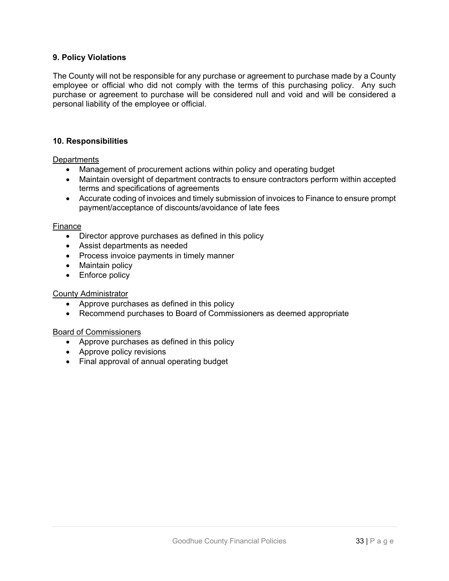# **9. Policy Violations**

The County will not be responsible for any purchase or agreement to purchase made by a County employee or official who did not comply with the terms of this purchasing policy. Any such purchase or agreement to purchase will be considered null and void and will be considered a personal liability of the employee or official.

#### **10. Responsibilities**

**Departments** 

- Management of procurement actions within policy and operating budget
- Maintain oversight of department contracts to ensure contractors perform within accepted terms and specifications of agreements
- Accurate coding of invoices and timely submission of invoices to Finance to ensure prompt payment/acceptance of discounts/avoidance of late fees

#### Finance

- Director approve purchases as defined in this policy
- Assist departments as needed
- Process invoice payments in timely manner
- Maintain policy
- Enforce policy

#### County Administrator

- Approve purchases as defined in this policy
- Recommend purchases to Board of Commissioners as deemed appropriate

#### Board of Commissioners

- Approve purchases as defined in this policy
- Approve policy revisions
- Final approval of annual operating budget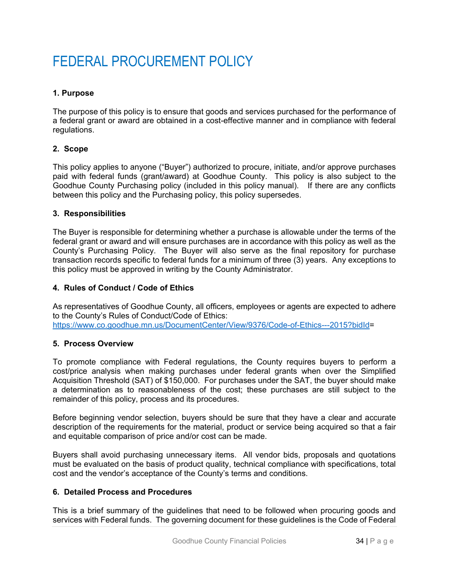# FEDERAL PROCUREMENT POLICY

# **1. Purpose**

The purpose of this policy is to ensure that goods and services purchased for the performance of a federal grant or award are obtained in a cost-effective manner and in compliance with federal regulations.

#### **2. Scope**

This policy applies to anyone ("Buyer") authorized to procure, initiate, and/or approve purchases paid with federal funds (grant/award) at Goodhue County. This policy is also subject to the Goodhue County Purchasing policy (included in this policy manual). If there are any conflicts between this policy and the Purchasing policy, this policy supersedes.

#### **3. Responsibilities**

The Buyer is responsible for determining whether a purchase is allowable under the terms of the federal grant or award and will ensure purchases are in accordance with this policy as well as the County's Purchasing Policy. The Buyer will also serve as the final repository for purchase transaction records specific to federal funds for a minimum of three (3) years. Any exceptions to this policy must be approved in writing by the County Administrator.

# **4. Rules of Conduct / Code of Ethics**

As representatives of Goodhue County, all officers, employees or agents are expected to adhere to the County's Rules of Conduct/Code of Ethics: https://www.co.goodhue.mn.us/DocumentCenter/View/9376/Code-of-Ethics---2015?bidId=

# **5. Process Overview**

To promote compliance with Federal regulations, the County requires buyers to perform a cost/price analysis when making purchases under federal grants when over the Simplified Acquisition Threshold (SAT) of \$150,000. For purchases under the SAT, the buyer should make a determination as to reasonableness of the cost; these purchases are still subject to the remainder of this policy, process and its procedures.

Before beginning vendor selection, buyers should be sure that they have a clear and accurate description of the requirements for the material, product or service being acquired so that a fair and equitable comparison of price and/or cost can be made.

Buyers shall avoid purchasing unnecessary items. All vendor bids, proposals and quotations must be evaluated on the basis of product quality, technical compliance with specifications, total cost and the vendor's acceptance of the County's terms and conditions.

#### **6. Detailed Process and Procedures**

This is a brief summary of the guidelines that need to be followed when procuring goods and services with Federal funds. The governing document for these guidelines is the Code of Federal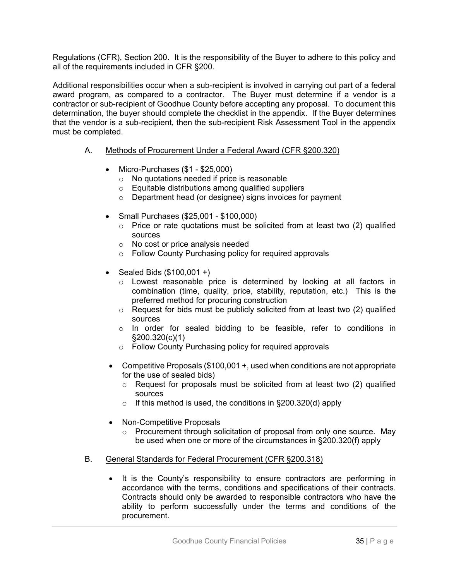Regulations (CFR), Section 200. It is the responsibility of the Buyer to adhere to this policy and all of the requirements included in CFR §200.

Additional responsibilities occur when a sub-recipient is involved in carrying out part of a federal award program, as compared to a contractor. The Buyer must determine if a vendor is a contractor or sub-recipient of Goodhue County before accepting any proposal. To document this determination, the buyer should complete the checklist in the appendix. If the Buyer determines that the vendor is a sub-recipient, then the sub-recipient Risk Assessment Tool in the appendix must be completed.

#### A. Methods of Procurement Under a Federal Award (CFR §200.320)

- Micro-Purchases (\$1 \$25,000)
	- o No quotations needed if price is reasonable
	- o Equitable distributions among qualified suppliers
	- o Department head (or designee) signs invoices for payment
- Small Purchases (\$25,001 \$100,000)
	- o Price or rate quotations must be solicited from at least two (2) qualified sources
	- o No cost or price analysis needed
	- o Follow County Purchasing policy for required approvals
- Sealed Bids  $(\$100,001 +)$ 
	- o Lowest reasonable price is determined by looking at all factors in combination (time, quality, price, stability, reputation, etc.) This is the preferred method for procuring construction
	- o Request for bids must be publicly solicited from at least two (2) qualified sources
	- $\circ$  In order for sealed bidding to be feasible, refer to conditions in §200.320(c)(1)
	- o Follow County Purchasing policy for required approvals
- Competitive Proposals (\$100,001 +, used when conditions are not appropriate for the use of sealed bids)
	- o Request for proposals must be solicited from at least two (2) qualified sources
	- $\circ$  If this method is used, the conditions in §200.320(d) apply
- Non-Competitive Proposals
	- o Procurement through solicitation of proposal from only one source. May be used when one or more of the circumstances in §200.320(f) apply
- B. General Standards for Federal Procurement (CFR §200.318)
	- It is the County's responsibility to ensure contractors are performing in accordance with the terms, conditions and specifications of their contracts. Contracts should only be awarded to responsible contractors who have the ability to perform successfully under the terms and conditions of the procurement.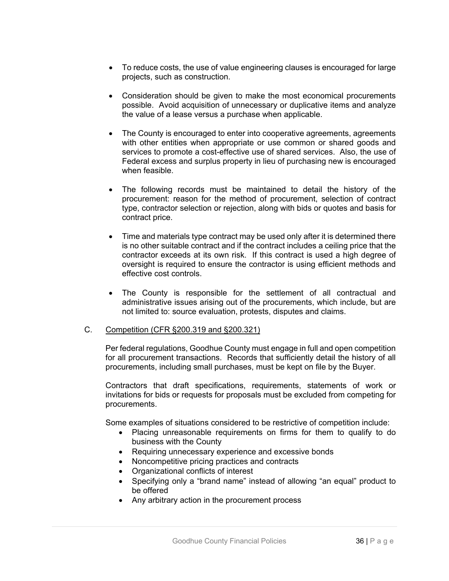- To reduce costs, the use of value engineering clauses is encouraged for large projects, such as construction.
- Consideration should be given to make the most economical procurements possible. Avoid acquisition of unnecessary or duplicative items and analyze the value of a lease versus a purchase when applicable.
- The County is encouraged to enter into cooperative agreements, agreements with other entities when appropriate or use common or shared goods and services to promote a cost-effective use of shared services. Also, the use of Federal excess and surplus property in lieu of purchasing new is encouraged when feasible.
- The following records must be maintained to detail the history of the procurement: reason for the method of procurement, selection of contract type, contractor selection or rejection, along with bids or quotes and basis for contract price.
- Time and materials type contract may be used only after it is determined there is no other suitable contract and if the contract includes a ceiling price that the contractor exceeds at its own risk. If this contract is used a high degree of oversight is required to ensure the contractor is using efficient methods and effective cost controls.
- The County is responsible for the settlement of all contractual and administrative issues arising out of the procurements, which include, but are not limited to: source evaluation, protests, disputes and claims.

# C. Competition (CFR §200.319 and §200.321)

Per federal regulations, Goodhue County must engage in full and open competition for all procurement transactions. Records that sufficiently detail the history of all procurements, including small purchases, must be kept on file by the Buyer.

Contractors that draft specifications, requirements, statements of work or invitations for bids or requests for proposals must be excluded from competing for procurements.

Some examples of situations considered to be restrictive of competition include:

- Placing unreasonable requirements on firms for them to qualify to do business with the County
- Requiring unnecessary experience and excessive bonds
- Noncompetitive pricing practices and contracts
- Organizational conflicts of interest
- Specifying only a "brand name" instead of allowing "an equal" product to be offered
- Any arbitrary action in the procurement process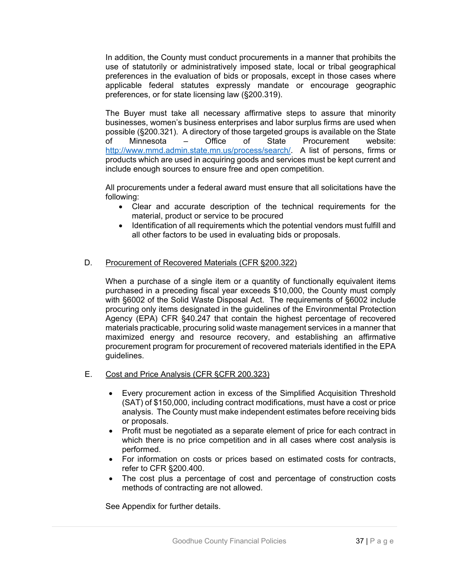In addition, the County must conduct procurements in a manner that prohibits the use of statutorily or administratively imposed state, local or tribal geographical preferences in the evaluation of bids or proposals, except in those cases where applicable federal statutes expressly mandate or encourage geographic preferences, or for state licensing law (§200.319).

The Buyer must take all necessary affirmative steps to assure that minority businesses, women's business enterprises and labor surplus firms are used when possible (§200.321). A directory of those targeted groups is available on the State of Minnesota – Office of State Procurement website: http://www.mmd.admin.state.mn.us/process/search/. A list of persons, firms or products which are used in acquiring goods and services must be kept current and include enough sources to ensure free and open competition.

All procurements under a federal award must ensure that all solicitations have the following:

- Clear and accurate description of the technical requirements for the material, product or service to be procured
- Identification of all requirements which the potential vendors must fulfill and all other factors to be used in evaluating bids or proposals.

# D. Procurement of Recovered Materials (CFR §200.322)

When a purchase of a single item or a quantity of functionally equivalent items purchased in a preceding fiscal year exceeds \$10,000, the County must comply with §6002 of the Solid Waste Disposal Act. The requirements of §6002 include procuring only items designated in the guidelines of the Environmental Protection Agency (EPA) CFR §40.247 that contain the highest percentage of recovered materials practicable, procuring solid waste management services in a manner that maximized energy and resource recovery, and establishing an affirmative procurement program for procurement of recovered materials identified in the EPA guidelines.

- E. Cost and Price Analysis (CFR §CFR 200.323)
	- Every procurement action in excess of the Simplified Acquisition Threshold (SAT) of \$150,000, including contract modifications, must have a cost or price analysis. The County must make independent estimates before receiving bids or proposals.
	- Profit must be negotiated as a separate element of price for each contract in which there is no price competition and in all cases where cost analysis is performed.
	- For information on costs or prices based on estimated costs for contracts, refer to CFR §200.400.
	- The cost plus a percentage of cost and percentage of construction costs methods of contracting are not allowed.

See Appendix for further details.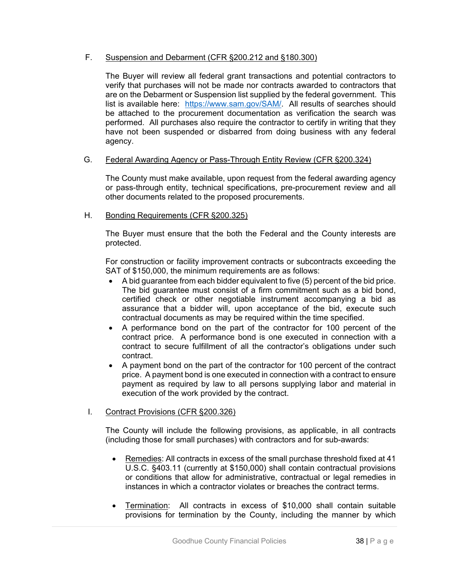# F. Suspension and Debarment (CFR §200.212 and §180.300)

The Buyer will review all federal grant transactions and potential contractors to verify that purchases will not be made nor contracts awarded to contractors that are on the Debarment or Suspension list supplied by the federal government. This list is available here: https://www.sam.gov/SAM/. All results of searches should be attached to the procurement documentation as verification the search was performed. All purchases also require the contractor to certify in writing that they have not been suspended or disbarred from doing business with any federal agency.

# G. Federal Awarding Agency or Pass-Through Entity Review (CFR §200.324)

The County must make available, upon request from the federal awarding agency or pass-through entity, technical specifications, pre-procurement review and all other documents related to the proposed procurements.

#### H. Bonding Requirements (CFR §200.325)

The Buyer must ensure that the both the Federal and the County interests are protected.

For construction or facility improvement contracts or subcontracts exceeding the SAT of \$150,000, the minimum requirements are as follows:

- A bid guarantee from each bidder equivalent to five (5) percent of the bid price. The bid guarantee must consist of a firm commitment such as a bid bond, certified check or other negotiable instrument accompanying a bid as assurance that a bidder will, upon acceptance of the bid, execute such contractual documents as may be required within the time specified.
- A performance bond on the part of the contractor for 100 percent of the contract price. A performance bond is one executed in connection with a contract to secure fulfillment of all the contractor's obligations under such contract.
- A payment bond on the part of the contractor for 100 percent of the contract price. A payment bond is one executed in connection with a contract to ensure payment as required by law to all persons supplying labor and material in execution of the work provided by the contract.

# I. Contract Provisions (CFR §200.326)

The County will include the following provisions, as applicable, in all contracts (including those for small purchases) with contractors and for sub-awards:

- Remedies: All contracts in excess of the small purchase threshold fixed at 41 U.S.C. §403.11 (currently at \$150,000) shall contain contractual provisions or conditions that allow for administrative, contractual or legal remedies in instances in which a contractor violates or breaches the contract terms.
- Termination: All contracts in excess of \$10,000 shall contain suitable provisions for termination by the County, including the manner by which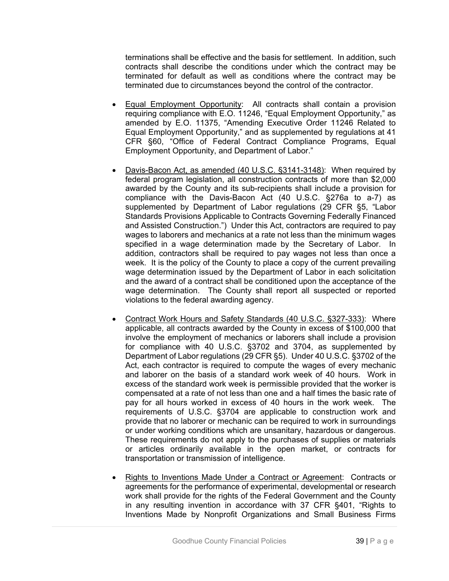terminations shall be effective and the basis for settlement. In addition, such contracts shall describe the conditions under which the contract may be terminated for default as well as conditions where the contract may be terminated due to circumstances beyond the control of the contractor.

- Equal Employment Opportunity: All contracts shall contain a provision requiring compliance with E.O. 11246, "Equal Employment Opportunity," as amended by E.O. 11375, "Amending Executive Order 11246 Related to Equal Employment Opportunity," and as supplemented by regulations at 41 CFR §60, "Office of Federal Contract Compliance Programs, Equal Employment Opportunity, and Department of Labor."
- Davis-Bacon Act, as amended (40 U.S.C. §3141-3148): When required by federal program legislation, all construction contracts of more than \$2,000 awarded by the County and its sub-recipients shall include a provision for compliance with the Davis-Bacon Act (40 U.S.C. §276a to a-7) as supplemented by Department of Labor regulations (29 CFR §5, "Labor Standards Provisions Applicable to Contracts Governing Federally Financed and Assisted Construction.") Under this Act, contractors are required to pay wages to laborers and mechanics at a rate not less than the minimum wages specified in a wage determination made by the Secretary of Labor. In addition, contractors shall be required to pay wages not less than once a week. It is the policy of the County to place a copy of the current prevailing wage determination issued by the Department of Labor in each solicitation and the award of a contract shall be conditioned upon the acceptance of the wage determination. The County shall report all suspected or reported violations to the federal awarding agency.
- Contract Work Hours and Safety Standards (40 U.S.C. §327-333): Where applicable, all contracts awarded by the County in excess of \$100,000 that involve the employment of mechanics or laborers shall include a provision for compliance with 40 U.S.C. §3702 and 3704, as supplemented by Department of Labor regulations (29 CFR §5). Under 40 U.S.C. §3702 of the Act, each contractor is required to compute the wages of every mechanic and laborer on the basis of a standard work week of 40 hours. Work in excess of the standard work week is permissible provided that the worker is compensated at a rate of not less than one and a half times the basic rate of pay for all hours worked in excess of 40 hours in the work week. The requirements of U.S.C. §3704 are applicable to construction work and provide that no laborer or mechanic can be required to work in surroundings or under working conditions which are unsanitary, hazardous or dangerous. These requirements do not apply to the purchases of supplies or materials or articles ordinarily available in the open market, or contracts for transportation or transmission of intelligence.
- Rights to Inventions Made Under a Contract or Agreement: Contracts or agreements for the performance of experimental, developmental or research work shall provide for the rights of the Federal Government and the County in any resulting invention in accordance with 37 CFR §401, "Rights to Inventions Made by Nonprofit Organizations and Small Business Firms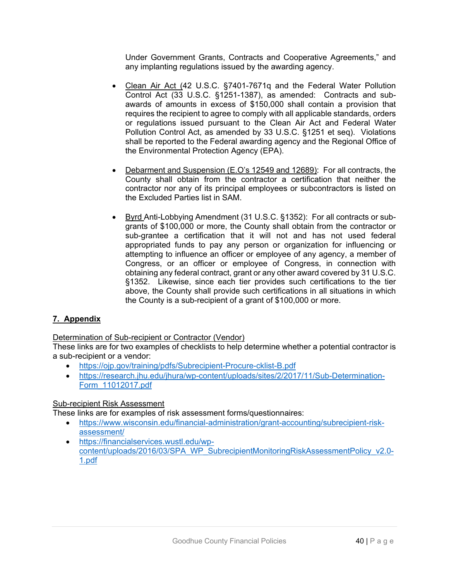Under Government Grants, Contracts and Cooperative Agreements," and any implanting regulations issued by the awarding agency.

- Clean Air Act (42 U.S.C. §7401-7671q and the Federal Water Pollution Control Act (33 U.S.C. §1251-1387), as amended: Contracts and subawards of amounts in excess of \$150,000 shall contain a provision that requires the recipient to agree to comply with all applicable standards, orders or regulations issued pursuant to the Clean Air Act and Federal Water Pollution Control Act, as amended by 33 U.S.C. §1251 et seq). Violations shall be reported to the Federal awarding agency and the Regional Office of the Environmental Protection Agency (EPA).
- Debarment and Suspension (E.O's 12549 and 12689): For all contracts, the County shall obtain from the contractor a certification that neither the contractor nor any of its principal employees or subcontractors is listed on the Excluded Parties list in SAM.
- Byrd Anti-Lobbying Amendment (31 U.S.C. §1352): For all contracts or subgrants of \$100,000 or more, the County shall obtain from the contractor or sub-grantee a certification that it will not and has not used federal appropriated funds to pay any person or organization for influencing or attempting to influence an officer or employee of any agency, a member of Congress, or an officer or employee of Congress, in connection with obtaining any federal contract, grant or any other award covered by 31 U.S.C. §1352. Likewise, since each tier provides such certifications to the tier above, the County shall provide such certifications in all situations in which the County is a sub-recipient of a grant of \$100,000 or more.

# **7. Appendix**

Determination of Sub-recipient or Contractor (Vendor)

These links are for two examples of checklists to help determine whether a potential contractor is a sub-recipient or a vendor:

- https://ojp.gov/training/pdfs/Subrecipient-Procure-cklist-B.pdf
- https://research.jhu.edu/jhura/wp-content/uploads/sites/2/2017/11/Sub-Determination-Form\_11012017.pdf

# Sub-recipient Risk Assessment

These links are for examples of risk assessment forms/questionnaires:

- https://www.wisconsin.edu/financial-administration/grant-accounting/subrecipient-riskassessment/
- https://financialservices.wustl.edu/wpcontent/uploads/2016/03/SPA\_WP\_SubrecipientMonitoringRiskAssessmentPolicy\_v2.0- 1.pdf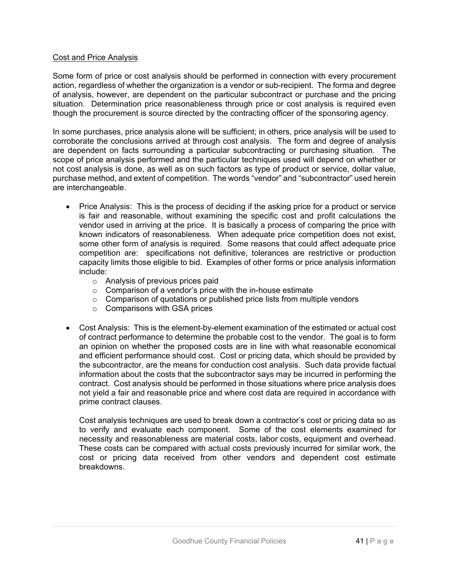### Cost and Price Analysis

Some form of price or cost analysis should be performed in connection with every procurement action, regardless of whether the organization is a vendor or sub-recipient. The forma and degree of analysis, however, are dependent on the particular subcontract or purchase and the pricing situation. Determination price reasonableness through price or cost analysis is required even though the procurement is source directed by the contracting officer of the sponsoring agency.

In some purchases, price analysis alone will be sufficient; in others, price analysis will be used to corroborate the conclusions arrived at through cost analysis. The form and degree of analysis are dependent on facts surrounding a particular subcontracting or purchasing situation. The scope of price analysis performed and the particular techniques used will depend on whether or not cost analysis is done, as well as on such factors as type of product or service, dollar value, purchase method, and extent of competition. The words "vendor" and "subcontractor" used herein are interchangeable.

- Price Analysis: This is the process of deciding if the asking price for a product or service is fair and reasonable, without examining the specific cost and profit calculations the vendor used in arriving at the price. It is basically a process of comparing the price with known indicators of reasonableness. When adequate price competition does not exist, some other form of analysis is required. Some reasons that could affect adequate price competition are: specifications not definitive, tolerances are restrictive or production capacity limits those eligible to bid. Examples of other forms or price analysis information include:
	- o Analysis of previous prices paid
	- $\circ$  Comparison of a vendor's price with the in-house estimate
	- o Comparison of quotations or published price lists from multiple vendors
	- o Comparisons with GSA prices
- Cost Analysis: This is the element-by-element examination of the estimated or actual cost of contract performance to determine the probable cost to the vendor. The goal is to form an opinion on whether the proposed costs are in line with what reasonable economical and efficient performance should cost. Cost or pricing data, which should be provided by the subcontractor, are the means for conduction cost analysis. Such data provide factual information about the costs that the subcontractor says may be incurred in performing the contract. Cost analysis should be performed in those situations where price analysis does not yield a fair and reasonable price and where cost data are required in accordance with prime contract clauses.

Cost analysis techniques are used to break down a contractor's cost or pricing data so as to verify and evaluate each component. Some of the cost elements examined for necessity and reasonableness are material costs, labor costs, equipment and overhead. These costs can be compared with actual costs previously incurred for similar work, the cost or pricing data received from other vendors and dependent cost estimate breakdowns.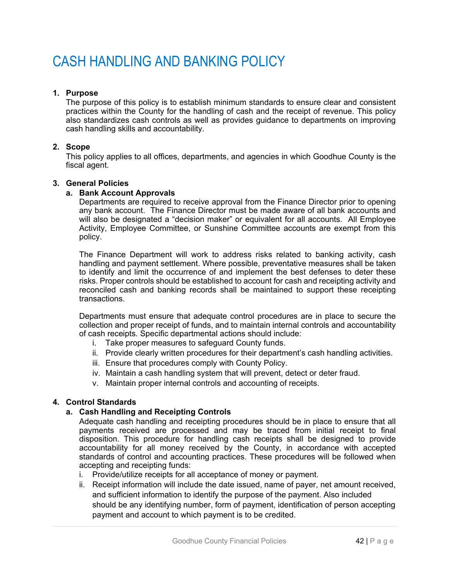# CASH HANDLING AND BANKING POLICY

# **1. Purpose**

The purpose of this policy is to establish minimum standards to ensure clear and consistent practices within the County for the handling of cash and the receipt of revenue. This policy also standardizes cash controls as well as provides guidance to departments on improving cash handling skills and accountability.

# **2. Scope**

This policy applies to all offices, departments, and agencies in which Goodhue County is the fiscal agent.

#### **3. General Policies**

#### **a. Bank Account Approvals**

Departments are required to receive approval from the Finance Director prior to opening any bank account. The Finance Director must be made aware of all bank accounts and will also be designated a "decision maker" or equivalent for all accounts. All Employee Activity, Employee Committee, or Sunshine Committee accounts are exempt from this policy.

The Finance Department will work to address risks related to banking activity, cash handling and payment settlement. Where possible, preventative measures shall be taken to identify and limit the occurrence of and implement the best defenses to deter these risks. Proper controls should be established to account for cash and receipting activity and reconciled cash and banking records shall be maintained to support these receipting transactions.

Departments must ensure that adequate control procedures are in place to secure the collection and proper receipt of funds, and to maintain internal controls and accountability of cash receipts. Specific departmental actions should include:

- i. Take proper measures to safeguard County funds.
- ii. Provide clearly written procedures for their department's cash handling activities.
- iii. Ensure that procedures comply with County Policy.
- iv. Maintain a cash handling system that will prevent, detect or deter fraud.
- v. Maintain proper internal controls and accounting of receipts.

# **4. Control Standards**

# **a. Cash Handling and Receipting Controls**

Adequate cash handling and receipting procedures should be in place to ensure that all payments received are processed and may be traced from initial receipt to final disposition. This procedure for handling cash receipts shall be designed to provide accountability for all money received by the County, in accordance with accepted standards of control and accounting practices. These procedures will be followed when accepting and receipting funds:

- i. Provide/utilize receipts for all acceptance of money or payment.
- ii. Receipt information will include the date issued, name of payer, net amount received, and sufficient information to identify the purpose of the payment. Also included should be any identifying number, form of payment, identification of person accepting payment and account to which payment is to be credited.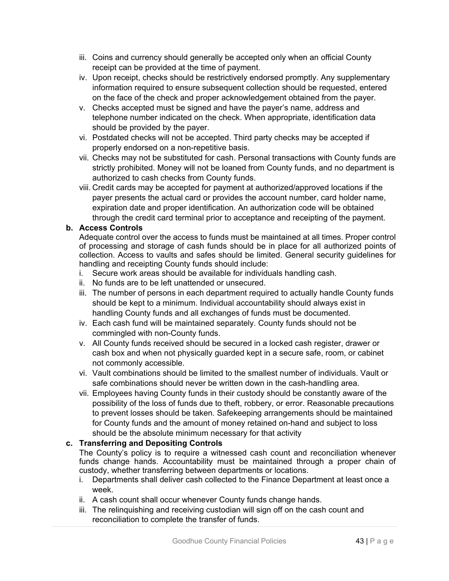- iii. Coins and currency should generally be accepted only when an official County receipt can be provided at the time of payment.
- iv. Upon receipt, checks should be restrictively endorsed promptly. Any supplementary information required to ensure subsequent collection should be requested, entered on the face of the check and proper acknowledgement obtained from the payer.
- v. Checks accepted must be signed and have the payer's name, address and telephone number indicated on the check. When appropriate, identification data should be provided by the payer.
- vi. Postdated checks will not be accepted. Third party checks may be accepted if properly endorsed on a non-repetitive basis.
- vii. Checks may not be substituted for cash. Personal transactions with County funds are strictly prohibited. Money will not be loaned from County funds, and no department is authorized to cash checks from County funds.
- viii. Credit cards may be accepted for payment at authorized/approved locations if the payer presents the actual card or provides the account number, card holder name, expiration date and proper identification. An authorization code will be obtained through the credit card terminal prior to acceptance and receipting of the payment.

# **b. Access Controls**

Adequate control over the access to funds must be maintained at all times. Proper control of processing and storage of cash funds should be in place for all authorized points of collection. Access to vaults and safes should be limited. General security guidelines for handling and receipting County funds should include:

- i. Secure work areas should be available for individuals handling cash.
- ii. No funds are to be left unattended or unsecured.
- iii. The number of persons in each department required to actually handle County funds should be kept to a minimum. Individual accountability should always exist in handling County funds and all exchanges of funds must be documented.
- iv. Each cash fund will be maintained separately. County funds should not be commingled with non-County funds.
- v. All County funds received should be secured in a locked cash register, drawer or cash box and when not physically guarded kept in a secure safe, room, or cabinet not commonly accessible.
- vi. Vault combinations should be limited to the smallest number of individuals. Vault or safe combinations should never be written down in the cash-handling area.
- vii. Employees having County funds in their custody should be constantly aware of the possibility of the loss of funds due to theft, robbery, or error. Reasonable precautions to prevent losses should be taken. Safekeeping arrangements should be maintained for County funds and the amount of money retained on-hand and subject to loss should be the absolute minimum necessary for that activity

# **c. Transferring and Depositing Controls**

The County's policy is to require a witnessed cash count and reconciliation whenever funds change hands. Accountability must be maintained through a proper chain of custody, whether transferring between departments or locations.

- i. Departments shall deliver cash collected to the Finance Department at least once a week.
- ii. A cash count shall occur whenever County funds change hands.
- iii. The relinquishing and receiving custodian will sign off on the cash count and reconciliation to complete the transfer of funds.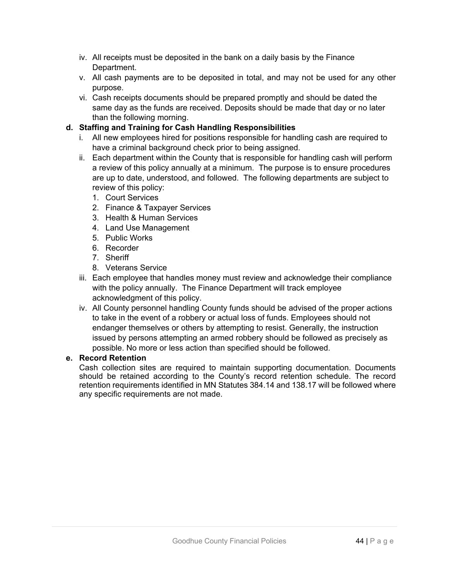- iv. All receipts must be deposited in the bank on a daily basis by the Finance Department.
- v. All cash payments are to be deposited in total, and may not be used for any other purpose.
- vi. Cash receipts documents should be prepared promptly and should be dated the same day as the funds are received. Deposits should be made that day or no later than the following morning.

# **d. Staffing and Training for Cash Handling Responsibilities**

- i. All new employees hired for positions responsible for handling cash are required to have a criminal background check prior to being assigned.
- ii. Each department within the County that is responsible for handling cash will perform a review of this policy annually at a minimum. The purpose is to ensure procedures are up to date, understood, and followed. The following departments are subject to review of this policy:
	- 1. Court Services
	- 2. Finance & Taxpayer Services
	- 3. Health & Human Services
	- 4. Land Use Management
	- 5. Public Works
	- 6. Recorder
	- 7. Sheriff
	- 8. Veterans Service
- iii. Each employee that handles money must review and acknowledge their compliance with the policy annually. The Finance Department will track employee acknowledgment of this policy.
- iv. All County personnel handling County funds should be advised of the proper actions to take in the event of a robbery or actual loss of funds. Employees should not endanger themselves or others by attempting to resist. Generally, the instruction issued by persons attempting an armed robbery should be followed as precisely as possible. No more or less action than specified should be followed.

# **e. Record Retention**

Cash collection sites are required to maintain supporting documentation. Documents should be retained according to the County's record retention schedule. The record retention requirements identified in MN Statutes 384.14 and 138.17 will be followed where any specific requirements are not made.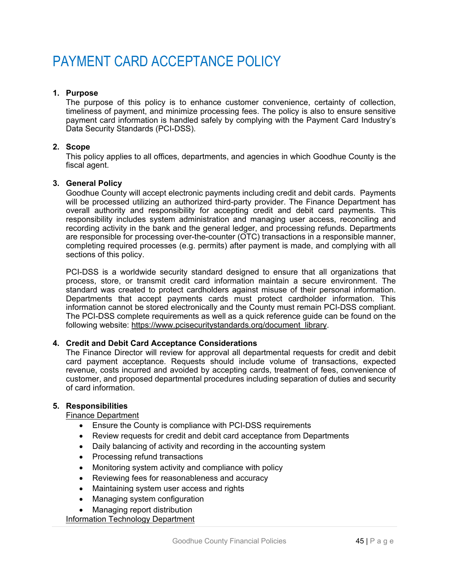# PAYMENT CARD ACCEPTANCE POLICY

# **1. Purpose**

The purpose of this policy is to enhance customer convenience, certainty of collection, timeliness of payment, and minimize processing fees. The policy is also to ensure sensitive payment card information is handled safely by complying with the Payment Card Industry's Data Security Standards (PCI-DSS).

### **2. Scope**

This policy applies to all offices, departments, and agencies in which Goodhue County is the fiscal agent.

#### **3. General Policy**

Goodhue County will accept electronic payments including credit and debit cards. Payments will be processed utilizing an authorized third-party provider. The Finance Department has overall authority and responsibility for accepting credit and debit card payments. This responsibility includes system administration and managing user access, reconciling and recording activity in the bank and the general ledger, and processing refunds. Departments are responsible for processing over-the-counter (OTC) transactions in a responsible manner, completing required processes (e.g. permits) after payment is made, and complying with all sections of this policy.

PCI-DSS is a worldwide security standard designed to ensure that all organizations that process, store, or transmit credit card information maintain a secure environment. The standard was created to protect cardholders against misuse of their personal information. Departments that accept payments cards must protect cardholder information. This information cannot be stored electronically and the County must remain PCI-DSS compliant. The PCI-DSS complete requirements as well as a quick reference guide can be found on the following website: https://www.pcisecuritystandards.org/document\_library.

# **4. Credit and Debit Card Acceptance Considerations**

The Finance Director will review for approval all departmental requests for credit and debit card payment acceptance. Requests should include volume of transactions, expected revenue, costs incurred and avoided by accepting cards, treatment of fees, convenience of customer, and proposed departmental procedures including separation of duties and security of card information.

# **5. Responsibilities**

# Finance Department

- Ensure the County is compliance with PCI-DSS requirements
- Review requests for credit and debit card acceptance from Departments
- Daily balancing of activity and recording in the accounting system
- Processing refund transactions
- Monitoring system activity and compliance with policy
- Reviewing fees for reasonableness and accuracy
- Maintaining system user access and rights
- Managing system configuration
- Managing report distribution

Information Technology Department